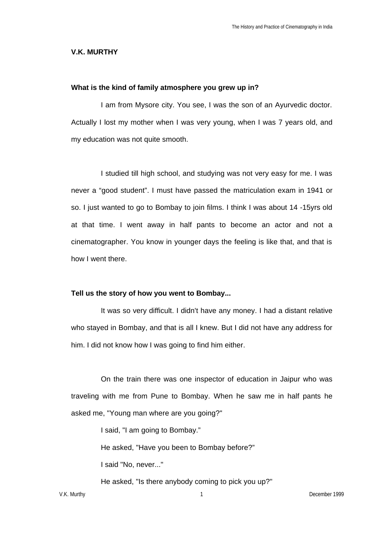## **V.K. MURTHY**

### **What is the kind of family atmosphere you grew up in?**

I am from Mysore city. You see, I was the son of an Ayurvedic doctor. Actually I lost my mother when I was very young, when I was 7 years old, and my education was not quite smooth.

I studied till high school, and studying was not very easy for me. I was never a "good student". I must have passed the matriculation exam in 1941 or so. I just wanted to go to Bombay to join films. I think I was about 14 -15yrs old at that time. I went away in half pants to become an actor and not a cinematographer. You know in younger days the feeling is like that, and that is how I went there.

## **Tell us the story of how you went to Bombay...**

It was so very difficult. I didn't have any money. I had a distant relative who stayed in Bombay, and that is all I knew. But I did not have any address for him. I did not know how I was going to find him either.

On the train there was one inspector of education in Jaipur who was traveling with me from Pune to Bombay. When he saw me in half pants he asked me, "Young man where are you going?"

I said, "I am going to Bombay."

He asked, "Have you been to Bombay before?"

I said "No, never..."

He asked, "Is there anybody coming to pick you up?"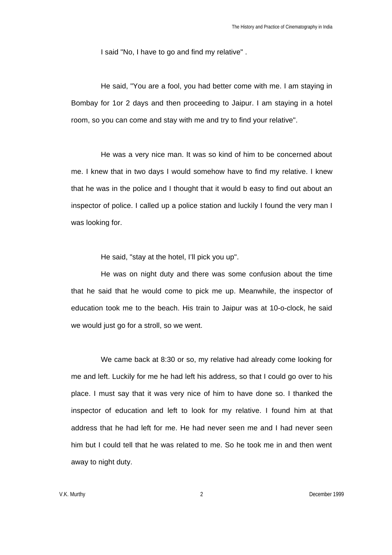I said "No, I have to go and find my relative" .

He said, "You are a fool, you had better come with me. I am staying in Bombay for 1or 2 days and then proceeding to Jaipur. I am staying in a hotel room, so you can come and stay with me and try to find your relative".

He was a very nice man. It was so kind of him to be concerned about me. I knew that in two days I would somehow have to find my relative. I knew that he was in the police and I thought that it would b easy to find out about an inspector of police. I called up a police station and luckily I found the very man I was looking for.

He said, "stay at the hotel, I'll pick you up".

He was on night duty and there was some confusion about the time that he said that he would come to pick me up. Meanwhile, the inspector of education took me to the beach. His train to Jaipur was at 10-o-clock, he said we would just go for a stroll, so we went.

We came back at 8:30 or so, my relative had already come looking for me and left. Luckily for me he had left his address, so that I could go over to his place. I must say that it was very nice of him to have done so. I thanked the inspector of education and left to look for my relative. I found him at that address that he had left for me. He had never seen me and I had never seen him but I could tell that he was related to me. So he took me in and then went away to night duty.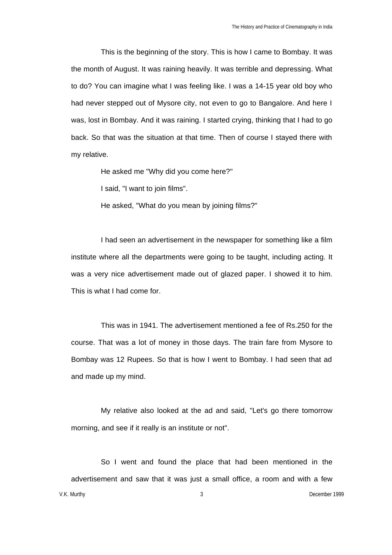This is the beginning of the story. This is how I came to Bombay. It was the month of August. It was raining heavily. It was terrible and depressing. What to do? You can imagine what I was feeling like. I was a 14-15 year old boy who had never stepped out of Mysore city, not even to go to Bangalore. And here I was, lost in Bombay. And it was raining. I started crying, thinking that I had to go back. So that was the situation at that time. Then of course I stayed there with my relative.

He asked me "Why did you come here?"

I said, "I want to join films".

He asked, "What do you mean by joining films?"

I had seen an advertisement in the newspaper for something like a film institute where all the departments were going to be taught, including acting. It was a very nice advertisement made out of glazed paper. I showed it to him. This is what I had come for.

This was in 1941. The advertisement mentioned a fee of Rs.250 for the course. That was a lot of money in those days. The train fare from Mysore to Bombay was 12 Rupees. So that is how I went to Bombay. I had seen that ad and made up my mind.

My relative also looked at the ad and said, "Let's go there tomorrow morning, and see if it really is an institute or not".

So I went and found the place that had been mentioned in the advertisement and saw that it was just a small office, a room and with a few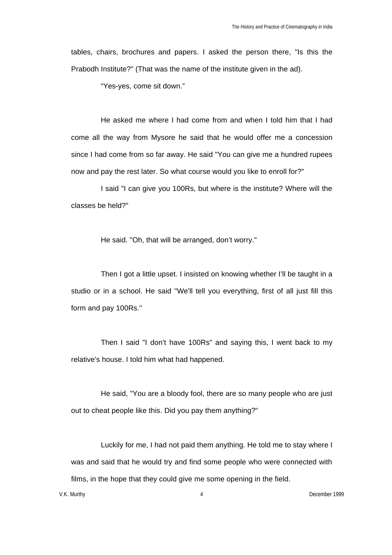tables, chairs, brochures and papers. I asked the person there, "Is this the Prabodh Institute?" (That was the name of the institute given in the ad).

"Yes-yes, come sit down."

He asked me where I had come from and when I told him that I had come all the way from Mysore he said that he would offer me a concession since I had come from so far away. He said "You can give me a hundred rupees now and pay the rest later. So what course would you like to enroll for?"

I said "I can give you 100Rs, but where is the institute? Where will the classes be held?"

He said. "Oh, that will be arranged, don't worry."

Then I got a little upset. I insisted on knowing whether I'll be taught in a studio or in a school. He said "We'll tell you everything, first of all just fill this form and pay 100Rs."

Then I said "I don't have 100Rs" and saying this, I went back to my relative's house. I told him what had happened.

He said, "You are a bloody fool, there are so many people who are just out to cheat people like this. Did you pay them anything?"

Luckily for me, I had not paid them anything. He told me to stay where I was and said that he would try and find some people who were connected with films, in the hope that they could give me some opening in the field.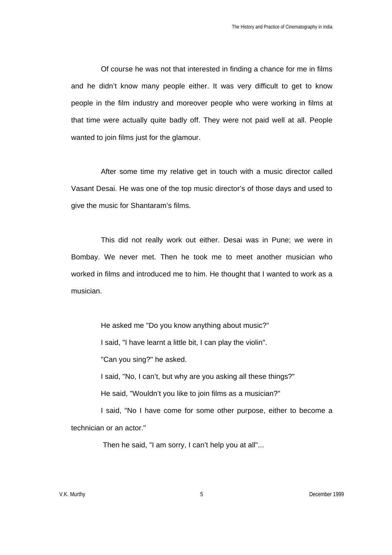Of course he was not that interested in finding a chance for me in films and he didn't know many people either. It was very difficult to get to know people in the film industry and moreover people who were working in films at that time were actually quite badly off. They were not paid well at all. People wanted to join films just for the glamour.

After some time my relative get in touch with a music director called Vasant Desai. He was one of the top music director's of those days and used to give the music for Shantaram's films.

This did not really work out either. Desai was in Pune; we were in Bombay. We never met. Then he took me to meet another musician who worked in films and introduced me to him. He thought that I wanted to work as a musician.

He asked me "Do you know anything about music?" I said, "I have learnt a little bit, I can play the violin". "Can you sing?" he asked. I said, "No, I can't, but why are you asking all these things?" He said, "Wouldn't you like to join films as a musician?"

I said, "No I have come for some other purpose, either to become a technician or an actor."

Then he said, "I am sorry, I can't help you at all"...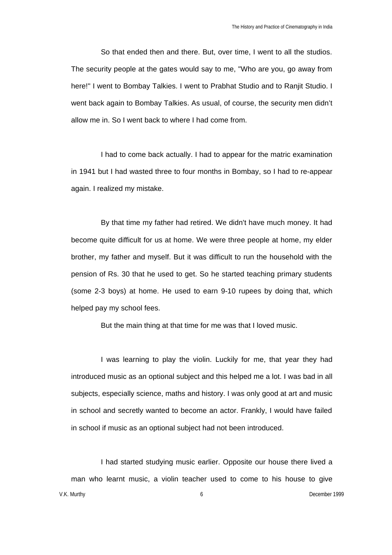So that ended then and there. But, over time, I went to all the studios. The security people at the gates would say to me, "Who are you, go away from here!" I went to Bombay Talkies. I went to Prabhat Studio and to Ranjit Studio. I went back again to Bombay Talkies. As usual, of course, the security men didn't allow me in. So I went back to where I had come from.

I had to come back actually. I had to appear for the matric examination in 1941 but I had wasted three to four months in Bombay, so I had to re-appear again. I realized my mistake.

By that time my father had retired. We didn't have much money. It had become quite difficult for us at home. We were three people at home, my elder brother, my father and myself. But it was difficult to run the household with the pension of Rs. 30 that he used to get. So he started teaching primary students (some 2-3 boys) at home. He used to earn 9-10 rupees by doing that, which helped pay my school fees.

But the main thing at that time for me was that I loved music.

I was learning to play the violin. Luckily for me, that year they had introduced music as an optional subject and this helped me a lot. I was bad in all subjects, especially science, maths and history. I was only good at art and music in school and secretly wanted to become an actor. Frankly, I would have failed in school if music as an optional subject had not been introduced.

I had started studying music earlier. Opposite our house there lived a man who learnt music, a violin teacher used to come to his house to give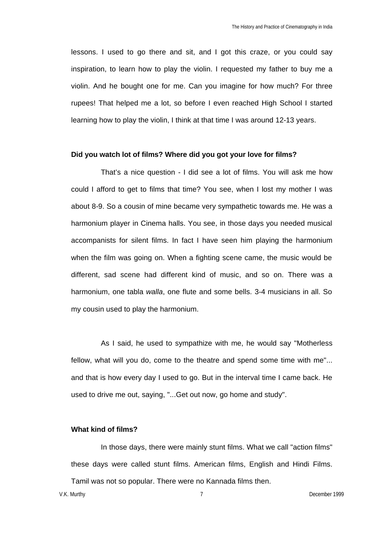lessons. I used to go there and sit, and I got this craze, or you could say inspiration, to learn how to play the violin. I requested my father to buy me a violin. And he bought one for me. Can you imagine for how much? For three rupees! That helped me a lot, so before I even reached High School I started learning how to play the violin, I think at that time I was around 12-13 years.

### **Did you watch lot of films? Where did you got your love for films?**

That's a nice question - I did see a lot of films. You will ask me how could I afford to get to films that time? You see, when I lost my mother I was about 8-9. So a cousin of mine became very sympathetic towards me. He was a harmonium player in Cinema halls. You see, in those days you needed musical accompanists for silent films. In fact I have seen him playing the harmonium when the film was going on. When a fighting scene came, the music would be different, sad scene had different kind of music, and so on. There was a harmonium, one tabla *walla*, one flute and some bells. 3-4 musicians in all. So my cousin used to play the harmonium.

As I said, he used to sympathize with me, he would say "Motherless fellow, what will you do, come to the theatre and spend some time with me"... and that is how every day I used to go. But in the interval time I came back. He used to drive me out, saying, "...Get out now, go home and study".

## **What kind of films?**

In those days, there were mainly stunt films. What we call "action films" these days were called stunt films. American films, English and Hindi Films. Tamil was not so popular. There were no Kannada films then.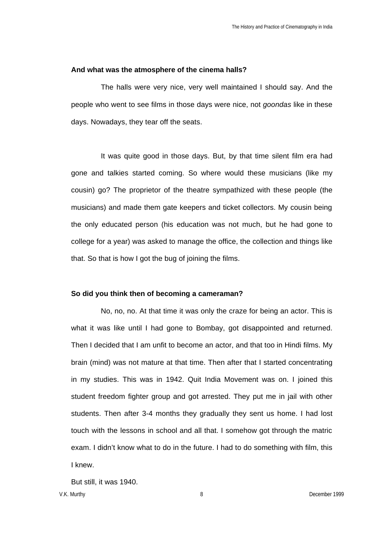#### **And what was the atmosphere of the cinema halls?**

The halls were very nice, very well maintained I should say. And the people who went to see films in those days were nice, not *goondas* like in these days. Nowadays, they tear off the seats.

It was quite good in those days. But, by that time silent film era had gone and talkies started coming. So where would these musicians (like my cousin) go? The proprietor of the theatre sympathized with these people (the musicians) and made them gate keepers and ticket collectors. My cousin being the only educated person (his education was not much, but he had gone to college for a year) was asked to manage the office, the collection and things like that. So that is how I got the bug of joining the films.

## **So did you think then of becoming a cameraman?**

No, no, no. At that time it was only the craze for being an actor. This is what it was like until I had gone to Bombay, got disappointed and returned. Then I decided that I am unfit to become an actor, and that too in Hindi films. My brain (mind) was not mature at that time. Then after that I started concentrating in my studies. This was in 1942. Quit India Movement was on. I joined this student freedom fighter group and got arrested. They put me in jail with other students. Then after 3-4 months they gradually they sent us home. I had lost touch with the lessons in school and all that. I somehow got through the matric exam. I didn't know what to do in the future. I had to do something with film, this I knew.

But still, it was 1940.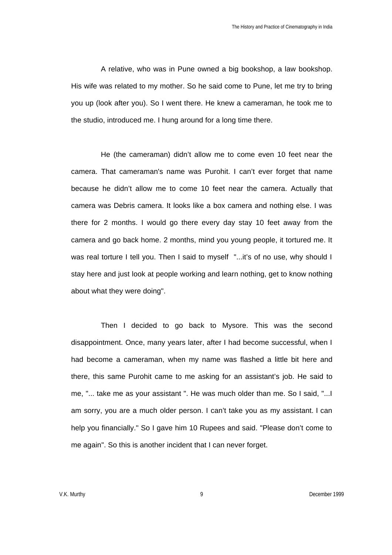The History and Practice of Cinematography in India

A relative, who was in Pune owned a big bookshop, a law bookshop. His wife was related to my mother. So he said come to Pune, let me try to bring you up (look after you). So I went there. He knew a cameraman, he took me to the studio, introduced me. I hung around for a long time there.

He (the cameraman) didn't allow me to come even 10 feet near the camera. That cameraman's name was Purohit. I can't ever forget that name because he didn't allow me to come 10 feet near the camera. Actually that camera was Debris camera. It looks like a box camera and nothing else. I was there for 2 months. I would go there every day stay 10 feet away from the camera and go back home. 2 months, mind you young people, it tortured me. It was real torture I tell you. Then I said to myself "...it's of no use, why should I stay here and just look at people working and learn nothing, get to know nothing about what they were doing".

Then I decided to go back to Mysore. This was the second disappointment. Once, many years later, after I had become successful, when I had become a cameraman, when my name was flashed a little bit here and there, this same Purohit came to me asking for an assistant's job. He said to me, "... take me as your assistant ". He was much older than me. So I said, "...I am sorry, you are a much older person. I can't take you as my assistant. I can help you financially." So I gave him 10 Rupees and said. "Please don't come to me again". So this is another incident that I can never forget.

V.K. Murthy 9 December 1999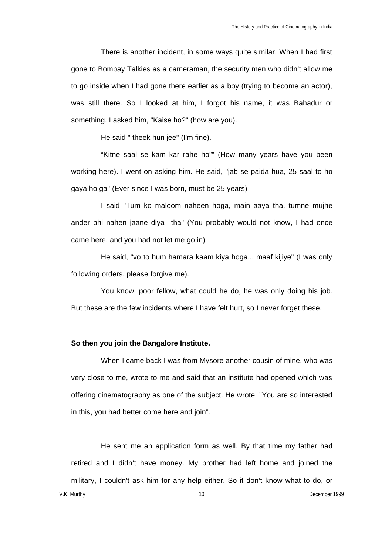There is another incident, in some ways quite similar. When I had first gone to Bombay Talkies as a cameraman, the security men who didn't allow me to go inside when I had gone there earlier as a boy (trying to become an actor), was still there. So I looked at him, I forgot his name, it was Bahadur or something. I asked him, "Kaise ho?" (how are you).

He said " theek hun jee" (I'm fine).

"Kitne saal se kam kar rahe ho"" (How many years have you been working here). I went on asking him. He said, "jab se paida hua, 25 saal to ho gaya ho ga" (Ever since I was born, must be 25 years)

I said "Tum ko maloom naheen hoga, main aaya tha, tumne mujhe ander bhi nahen jaane diya tha" (You probably would not know, I had once came here, and you had not let me go in)

He said, "vo to hum hamara kaam kiya hoga... maaf kijiye" (I was only following orders, please forgive me).

You know, poor fellow, what could he do, he was only doing his job. But these are the few incidents where I have felt hurt, so I never forget these.

## **So then you join the Bangalore Institute.**

When I came back I was from Mysore another cousin of mine, who was very close to me, wrote to me and said that an institute had opened which was offering cinematography as one of the subject. He wrote, "You are so interested in this, you had better come here and join".

V.K. Murthy 10 December 1999 He sent me an application form as well. By that time my father had retired and I didn't have money. My brother had left home and joined the military, I couldn't ask him for any help either. So it don't know what to do, or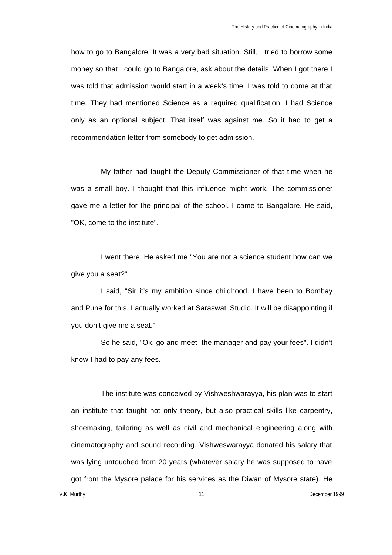how to go to Bangalore. It was a very bad situation. Still, I tried to borrow some money so that I could go to Bangalore, ask about the details. When I got there I was told that admission would start in a week's time. I was told to come at that time. They had mentioned Science as a required qualification. I had Science only as an optional subject. That itself was against me. So it had to get a recommendation letter from somebody to get admission.

My father had taught the Deputy Commissioner of that time when he was a small boy. I thought that this influence might work. The commissioner gave me a letter for the principal of the school. I came to Bangalore. He said, "OK, come to the institute".

I went there. He asked me "You are not a science student how can we give you a seat?"

I said, "Sir it's my ambition since childhood. I have been to Bombay and Pune for this. I actually worked at Saraswati Studio. It will be disappointing if you don't give me a seat."

So he said, "Ok, go and meet the manager and pay your fees". I didn't know I had to pay any fees.

The institute was conceived by Vishweshwarayya, his plan was to start an institute that taught not only theory, but also practical skills like carpentry, shoemaking, tailoring as well as civil and mechanical engineering along with cinematography and sound recording. Vishweswarayya donated his salary that was lying untouched from 20 years (whatever salary he was supposed to have got from the Mysore palace for his services as the Diwan of Mysore state). He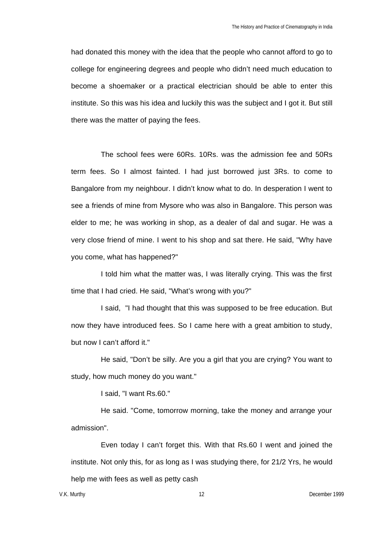had donated this money with the idea that the people who cannot afford to go to college for engineering degrees and people who didn't need much education to become a shoemaker or a practical electrician should be able to enter this institute. So this was his idea and luckily this was the subject and I got it. But still there was the matter of paying the fees.

The school fees were 60Rs. 10Rs. was the admission fee and 50Rs term fees. So I almost fainted. I had just borrowed just 3Rs. to come to Bangalore from my neighbour. I didn't know what to do. In desperation I went to see a friends of mine from Mysore who was also in Bangalore. This person was elder to me; he was working in shop, as a dealer of dal and sugar. He was a very close friend of mine. I went to his shop and sat there. He said, "Why have you come, what has happened?"

I told him what the matter was, I was literally crying. This was the first time that I had cried. He said, "What's wrong with you?"

I said, "I had thought that this was supposed to be free education. But now they have introduced fees. So I came here with a great ambition to study, but now I can't afford it."

He said, "Don't be silly. Are you a girl that you are crying? You want to study, how much money do you want."

I said, "I want Rs.60."

He said. "Come, tomorrow morning, take the money and arrange your admission".

Even today I can't forget this. With that Rs.60 I went and joined the institute. Not only this, for as long as I was studying there, for 21/2 Yrs, he would help me with fees as well as petty cash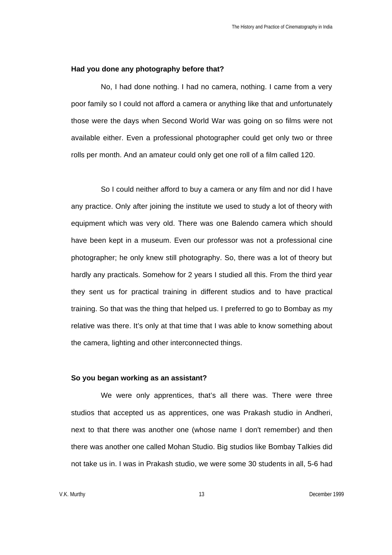### **Had you done any photography before that?**

No, I had done nothing. I had no camera, nothing. I came from a very poor family so I could not afford a camera or anything like that and unfortunately those were the days when Second World War was going on so films were not available either. Even a professional photographer could get only two or three rolls per month. And an amateur could only get one roll of a film called 120.

So I could neither afford to buy a camera or any film and nor did I have any practice. Only after joining the institute we used to study a lot of theory with equipment which was very old. There was one Balendo camera which should have been kept in a museum. Even our professor was not a professional cine photographer; he only knew still photography. So, there was a lot of theory but hardly any practicals. Somehow for 2 years I studied all this. From the third year they sent us for practical training in different studios and to have practical training. So that was the thing that helped us. I preferred to go to Bombay as my relative was there. It's only at that time that I was able to know something about the camera, lighting and other interconnected things.

## **So you began working as an assistant?**

We were only apprentices, that's all there was. There were three studios that accepted us as apprentices, one was Prakash studio in Andheri, next to that there was another one (whose name I don't remember) and then there was another one called Mohan Studio. Big studios like Bombay Talkies did not take us in. I was in Prakash studio, we were some 30 students in all, 5-6 had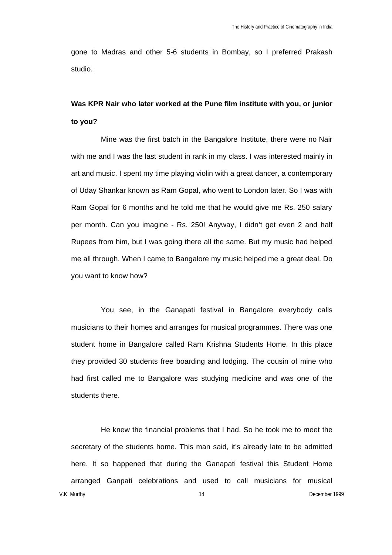gone to Madras and other 5-6 students in Bombay, so I preferred Prakash studio.

# **Was KPR Nair who later worked at the Pune film institute with you, or junior to you?**

Mine was the first batch in the Bangalore Institute, there were no Nair with me and I was the last student in rank in my class. I was interested mainly in art and music. I spent my time playing violin with a great dancer, a contemporary of Uday Shankar known as Ram Gopal, who went to London later. So I was with Ram Gopal for 6 months and he told me that he would give me Rs. 250 salary per month. Can you imagine - Rs. 250! Anyway, I didn't get even 2 and half Rupees from him, but I was going there all the same. But my music had helped me all through. When I came to Bangalore my music helped me a great deal. Do you want to know how?

You see, in the Ganapati festival in Bangalore everybody calls musicians to their homes and arranges for musical programmes. There was one student home in Bangalore called Ram Krishna Students Home. In this place they provided 30 students free boarding and lodging. The cousin of mine who had first called me to Bangalore was studying medicine and was one of the students there.

V.K. Murthy 14 December 1999 He knew the financial problems that I had. So he took me to meet the secretary of the students home. This man said, it's already late to be admitted here. It so happened that during the Ganapati festival this Student Home arranged Ganpati celebrations and used to call musicians for musical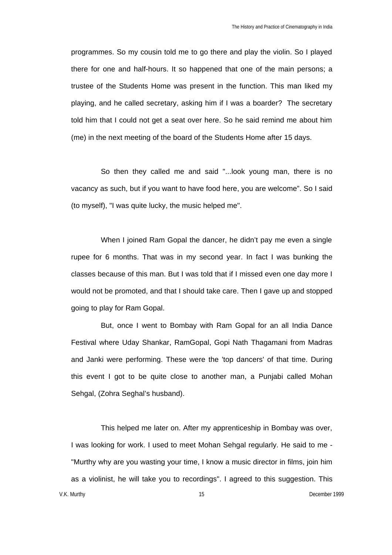programmes. So my cousin told me to go there and play the violin. So I played there for one and half-hours. It so happened that one of the main persons; a trustee of the Students Home was present in the function. This man liked my playing, and he called secretary, asking him if I was a boarder? The secretary told him that I could not get a seat over here. So he said remind me about him (me) in the next meeting of the board of the Students Home after 15 days.

So then they called me and said "...look young man, there is no vacancy as such, but if you want to have food here, you are welcome". So I said (to myself), "I was quite lucky, the music helped me".

When I joined Ram Gopal the dancer, he didn't pay me even a single rupee for 6 months. That was in my second year. In fact I was bunking the classes because of this man. But I was told that if I missed even one day more I would not be promoted, and that I should take care. Then I gave up and stopped going to play for Ram Gopal.

But, once I went to Bombay with Ram Gopal for an all India Dance Festival where Uday Shankar, RamGopal, Gopi Nath Thagamani from Madras and Janki were performing. These were the 'top dancers' of that time. During this event I got to be quite close to another man, a Punjabi called Mohan Sehgal, (Zohra Seghal's husband).

This helped me later on. After my apprenticeship in Bombay was over, I was looking for work. I used to meet Mohan Sehgal regularly. He said to me - "Murthy why are you wasting your time, I know a music director in films, join him as a violinist, he will take you to recordings". I agreed to this suggestion. This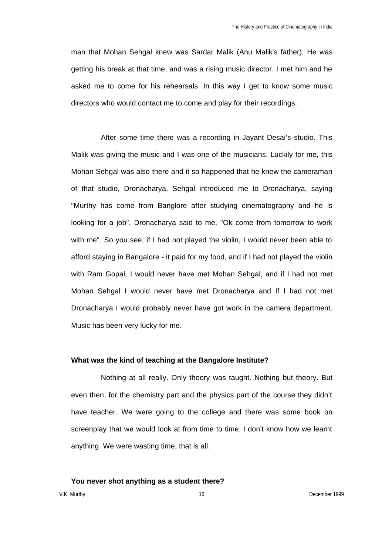man that Mohan Sehgal knew was Sardar Malik (Anu Malik's father). He was getting his break at that time, and was a rising music director. I met him and he asked me to come for his rehearsals. In this way I get to know some music directors who would contact me to come and play for their recordings.

After some time there was a recording in Jayant Desai's studio. This Malik was giving the music and I was one of the musicians. Luckily for me, this Mohan Sehgal was also there and it so happened that he knew the cameraman of that studio, Dronacharya. Sehgal introduced me to Dronacharya, saying "Murthy has come from Banglore after studying cinematography and he is looking for a job". Dronacharya said to me, "Ok come from tomorrow to work with me". So you see, if I had not played the violin, I would never been able to afford staying in Bangalore - it paid for my food, and if I had not played the violin with Ram Gopal, I would never have met Mohan Sehgal, and if I had not met Mohan Sehgal I would never have met Dronacharya and If I had not met Dronacharya I would probably never have got work in the camera department. Music has been very lucky for me.

#### **What was the kind of teaching at the Bangalore Institute?**

Nothing at all really. Only theory was taught. Nothing but theory. But even then, for the chemistry part and the physics part of the course they didn't have teacher. We were going to the college and there was some book on screenplay that we would look at from time to time. I don't know how we learnt anything. We were wasting time, that is all.

#### **You never shot anything as a student there?**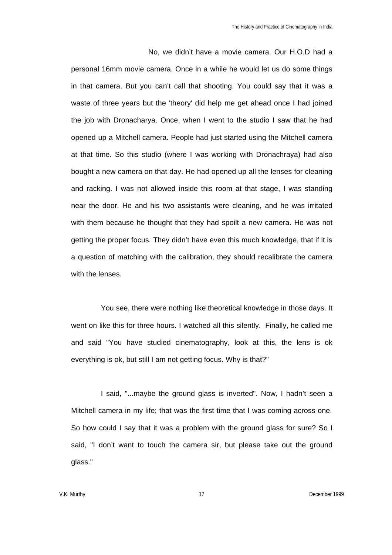No, we didn't have a movie camera. Our H.O.D had a personal 16mm movie camera. Once in a while he would let us do some things in that camera. But you can't call that shooting. You could say that it was a waste of three years but the 'theory' did help me get ahead once I had joined the job with Dronacharya. Once, when I went to the studio I saw that he had opened up a Mitchell camera. People had just started using the Mitchell camera at that time. So this studio (where I was working with Dronachraya) had also bought a new camera on that day. He had opened up all the lenses for cleaning and racking. I was not allowed inside this room at that stage, I was standing near the door. He and his two assistants were cleaning, and he was irritated with them because he thought that they had spoilt a new camera. He was not getting the proper focus. They didn't have even this much knowledge, that if it is a question of matching with the calibration, they should recalibrate the camera with the lenses.

You see, there were nothing like theoretical knowledge in those days. It went on like this for three hours. I watched all this silently. Finally, he called me and said "You have studied cinematography, look at this, the lens is ok everything is ok, but still I am not getting focus. Why is that?"

I said, "...maybe the ground glass is inverted". Now, I hadn't seen a Mitchell camera in my life; that was the first time that I was coming across one. So how could I say that it was a problem with the ground glass for sure? So I said, "I don't want to touch the camera sir, but please take out the ground glass."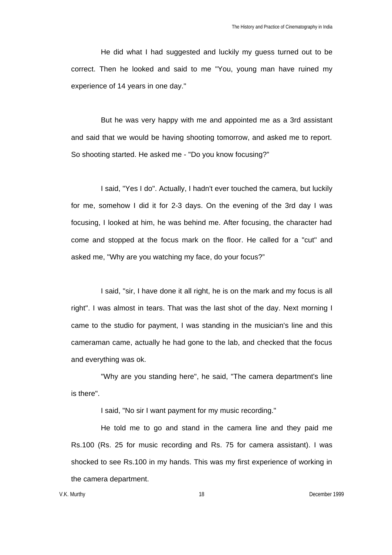He did what I had suggested and luckily my guess turned out to be correct. Then he looked and said to me "You, young man have ruined my experience of 14 years in one day."

But he was very happy with me and appointed me as a 3rd assistant and said that we would be having shooting tomorrow, and asked me to report. So shooting started. He asked me - "Do you know focusing?"

I said, "Yes I do". Actually, I hadn't ever touched the camera, but luckily for me, somehow I did it for 2-3 days. On the evening of the 3rd day I was focusing, I looked at him, he was behind me. After focusing, the character had come and stopped at the focus mark on the floor. He called for a "cut" and asked me, "Why are you watching my face, do your focus?"

I said, "sir, I have done it all right, he is on the mark and my focus is all right". I was almost in tears. That was the last shot of the day. Next morning I came to the studio for payment, I was standing in the musician's line and this cameraman came, actually he had gone to the lab, and checked that the focus and everything was ok.

"Why are you standing here", he said, "The camera department's line is there".

I said, "No sir I want payment for my music recording."

He told me to go and stand in the camera line and they paid me Rs.100 (Rs. 25 for music recording and Rs. 75 for camera assistant). I was shocked to see Rs.100 in my hands. This was my first experience of working in the camera department.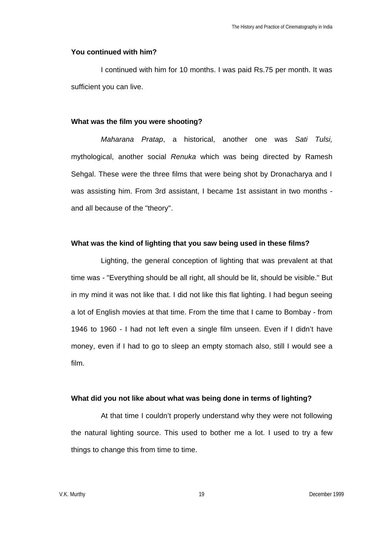#### **You continued with him?**

I continued with him for 10 months. I was paid Rs.75 per month. It was sufficient you can live.

### **What was the film you were shooting?**

*Maharana Pratap*, a historical, another one was *Sati Tulsi,* mythological, another social *Renuka* which was being directed by Ramesh Sehgal. These were the three films that were being shot by Dronacharya and I was assisting him. From 3rd assistant, I became 1st assistant in two months and all because of the "theory".

## **What was the kind of lighting that you saw being used in these films?**

Lighting, the general conception of lighting that was prevalent at that time was - "Everything should be all right, all should be lit, should be visible." But in my mind it was not like that. I did not like this flat lighting. I had begun seeing a lot of English movies at that time. From the time that I came to Bombay - from 1946 to 1960 - I had not left even a single film unseen. Even if I didn't have money, even if I had to go to sleep an empty stomach also, still I would see a film.

#### **What did you not like about what was being done in terms of lighting?**

At that time I couldn't properly understand why they were not following the natural lighting source. This used to bother me a lot. I used to try a few things to change this from time to time.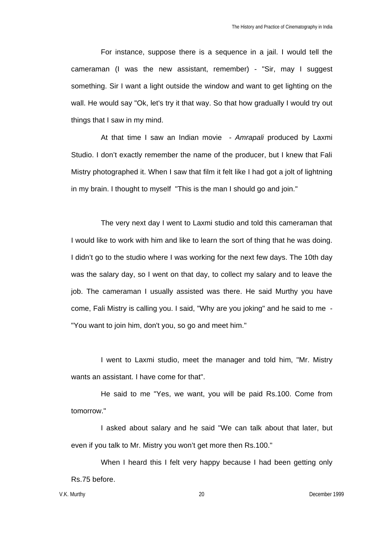For instance, suppose there is a sequence in a jail. I would tell the cameraman (I was the new assistant, remember) - "Sir, may I suggest something. Sir I want a light outside the window and want to get lighting on the wall. He would say "Ok, let's try it that way. So that how gradually I would try out things that I saw in my mind.

At that time I saw an Indian movie - *Amrapali* produced by Laxmi Studio. I don't exactly remember the name of the producer, but I knew that Fali Mistry photographed it. When I saw that film it felt like I had got a jolt of lightning in my brain. I thought to myself "This is the man I should go and join."

The very next day I went to Laxmi studio and told this cameraman that I would like to work with him and like to learn the sort of thing that he was doing. I didn't go to the studio where I was working for the next few days. The 10th day was the salary day, so I went on that day, to collect my salary and to leave the job. The cameraman I usually assisted was there. He said Murthy you have come, Fali Mistry is calling you. I said, "Why are you joking" and he said to me - "You want to join him, don't you, so go and meet him."

I went to Laxmi studio, meet the manager and told him, "Mr. Mistry wants an assistant. I have come for that".

He said to me "Yes, we want, you will be paid Rs.100. Come from tomorrow."

I asked about salary and he said "We can talk about that later, but even if you talk to Mr. Mistry you won't get more then Rs.100."

When I heard this I felt very happy because I had been getting only Rs.75 before.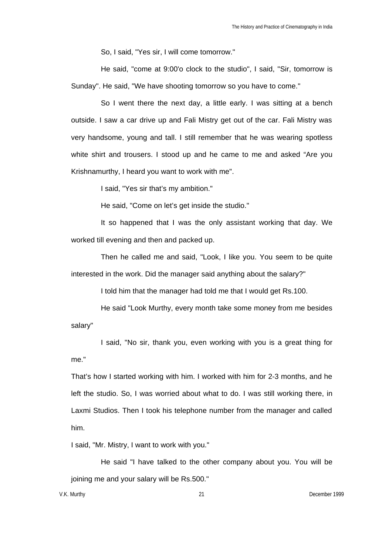So, I said, "Yes sir, I will come tomorrow."

He said, "come at 9:00'o clock to the studio", I said, "Sir, tomorrow is Sunday". He said, "We have shooting tomorrow so you have to come."

So I went there the next day, a little early. I was sitting at a bench outside. I saw a car drive up and Fali Mistry get out of the car. Fali Mistry was very handsome, young and tall. I still remember that he was wearing spotless white shirt and trousers. I stood up and he came to me and asked "Are you Krishnamurthy, I heard you want to work with me".

I said, "Yes sir that's my ambition."

He said, "Come on let's get inside the studio."

It so happened that I was the only assistant working that day. We worked till evening and then and packed up.

Then he called me and said, "Look, I like you. You seem to be quite interested in the work. Did the manager said anything about the salary?"

I told him that the manager had told me that I would get Rs.100.

He said "Look Murthy, every month take some money from me besides salary"

I said, "No sir, thank you, even working with you is a great thing for me."

That's how I started working with him. I worked with him for 2-3 months, and he left the studio. So, I was worried about what to do. I was still working there, in Laxmi Studios. Then I took his telephone number from the manager and called him.

I said, "Mr. Mistry, I want to work with you."

He said "I have talked to the other company about you. You will be joining me and your salary will be Rs.500."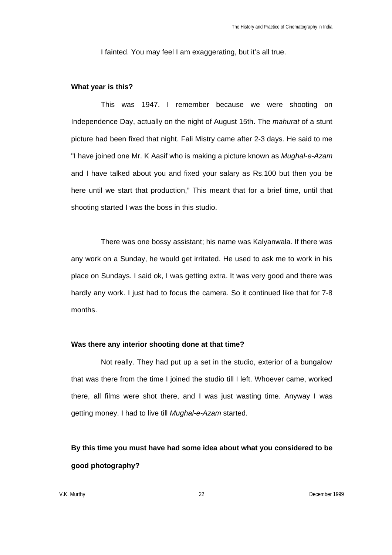I fainted. You may feel I am exaggerating, but it's all true.

## **What year is this?**

This was 1947. I remember because we were shooting on Independence Day, actually on the night of August 15th. The *mahurat* of a stunt picture had been fixed that night. Fali Mistry came after 2-3 days. He said to me "I have joined one Mr. K Aasif who is making a picture known as *Mughal-e-Azam* and I have talked about you and fixed your salary as Rs.100 but then you be here until we start that production," This meant that for a brief time, until that shooting started I was the boss in this studio.

There was one bossy assistant; his name was Kalyanwala. If there was any work on a Sunday, he would get irritated. He used to ask me to work in his place on Sundays. I said ok, I was getting extra. It was very good and there was hardly any work. I just had to focus the camera. So it continued like that for 7-8 months.

## **Was there any interior shooting done at that time?**

Not really. They had put up a set in the studio, exterior of a bungalow that was there from the time I joined the studio till I left. Whoever came, worked there, all films were shot there, and I was just wasting time. Anyway I was getting money. I had to live till *Mughal-e-Azam* started.

# **By this time you must have had some idea about what you considered to be good photography?**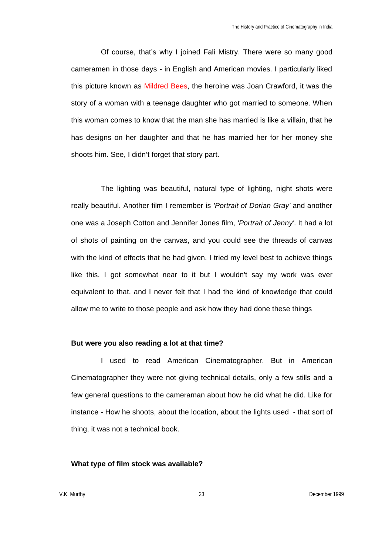Of course, that's why I joined Fali Mistry. There were so many good cameramen in those days - in English and American movies. I particularly liked this picture known as Mildred Bees, the heroine was Joan Crawford, it was the story of a woman with a teenage daughter who got married to someone. When this woman comes to know that the man she has married is like a villain, that he has designs on her daughter and that he has married her for her money she shoots him. See, I didn't forget that story part.

The lighting was beautiful, natural type of lighting, night shots were really beautiful. Another film I remember is *'Portrait of Dorian Gray'* and another one was a Joseph Cotton and Jennifer Jones film, *'Portrait of Jenny'*. It had a lot of shots of painting on the canvas, and you could see the threads of canvas with the kind of effects that he had given. I tried my level best to achieve things like this. I got somewhat near to it but I wouldn't say my work was ever equivalent to that, and I never felt that I had the kind of knowledge that could allow me to write to those people and ask how they had done these things

## **But were you also reading a lot at that time?**

I used to read American Cinematographer. But in American Cinematographer they were not giving technical details, only a few stills and a few general questions to the cameraman about how he did what he did. Like for instance - How he shoots, about the location, about the lights used - that sort of thing, it was not a technical book.

#### **What type of film stock was available?**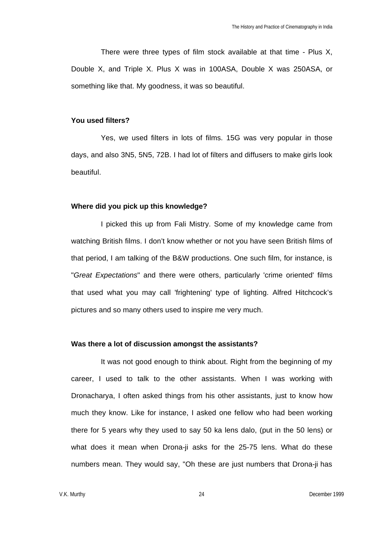There were three types of film stock available at that time - Plus X, Double X, and Triple X. Plus X was in 100ASA, Double X was 250ASA, or something like that. My goodness, it was so beautiful.

## **You used filters?**

Yes, we used filters in lots of films. 15G was very popular in those days, and also 3N5, 5N5, 72B. I had lot of filters and diffusers to make girls look beautiful.

### **Where did you pick up this knowledge?**

I picked this up from Fali Mistry. Some of my knowledge came from watching British films. I don't know whether or not you have seen British films of that period, I am talking of the B&W productions. One such film, for instance, is "*Great Expectations*" and there were others, particularly 'crime oriented' films that used what you may call 'frightening' type of lighting. Alfred Hitchcock's pictures and so many others used to inspire me very much.

## **Was there a lot of discussion amongst the assistants?**

It was not good enough to think about. Right from the beginning of my career, I used to talk to the other assistants. When I was working with Dronacharya, I often asked things from his other assistants, just to know how much they know. Like for instance, I asked one fellow who had been working there for 5 years why they used to say 50 ka lens dalo, (put in the 50 lens) or what does it mean when Drona-ji asks for the 25-75 lens. What do these numbers mean. They would say, "Oh these are just numbers that Drona-ji has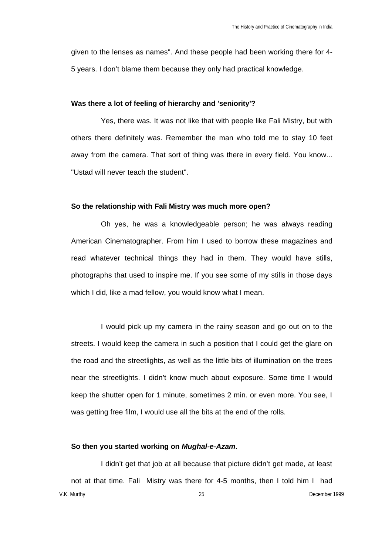given to the lenses as names". And these people had been working there for 4- 5 years. I don't blame them because they only had practical knowledge.

#### **Was there a lot of feeling of hierarchy and 'seniority'?**

Yes, there was. It was not like that with people like Fali Mistry, but with others there definitely was. Remember the man who told me to stay 10 feet away from the camera. That sort of thing was there in every field. You know... "Ustad will never teach the student".

### **So the relationship with Fali Mistry was much more open?**

Oh yes, he was a knowledgeable person; he was always reading American Cinematographer. From him I used to borrow these magazines and read whatever technical things they had in them. They would have stills, photographs that used to inspire me. If you see some of my stills in those days which I did, like a mad fellow, you would know what I mean.

I would pick up my camera in the rainy season and go out on to the streets. I would keep the camera in such a position that I could get the glare on the road and the streetlights, as well as the little bits of illumination on the trees near the streetlights. I didn't know much about exposure. Some time I would keep the shutter open for 1 minute, sometimes 2 min. or even more. You see, I was getting free film, I would use all the bits at the end of the rolls.

## **So then you started working on** *Mughal-e-Azam***.**

V.K. Murthy 25 December 1999 I didn't get that job at all because that picture didn't get made, at least not at that time. Fali Mistry was there for 4-5 months, then I told him I had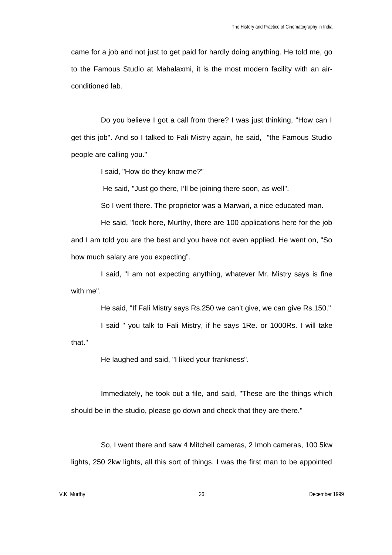came for a job and not just to get paid for hardly doing anything. He told me, go to the Famous Studio at Mahalaxmi, it is the most modern facility with an airconditioned lab.

Do you believe I got a call from there? I was just thinking, "How can I get this job". And so I talked to Fali Mistry again, he said, "the Famous Studio people are calling you."

I said, "How do they know me?"

He said, "Just go there, I'll be joining there soon, as well".

So I went there. The proprietor was a Marwari, a nice educated man.

He said, "look here, Murthy, there are 100 applications here for the job and I am told you are the best and you have not even applied. He went on, "So how much salary are you expecting".

I said, "I am not expecting anything, whatever Mr. Mistry says is fine with me".

He said, "If Fali Mistry says Rs.250 we can't give, we can give Rs.150." I said " you talk to Fali Mistry, if he says 1Re. or 1000Rs. I will take that."

He laughed and said, "I liked your frankness".

Immediately, he took out a file, and said, "These are the things which should be in the studio, please go down and check that they are there."

So, I went there and saw 4 Mitchell cameras, 2 Imoh cameras, 100 5kw lights, 250 2kw lights, all this sort of things. I was the first man to be appointed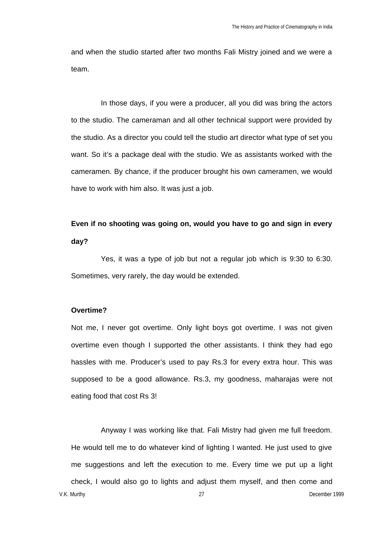and when the studio started after two months Fali Mistry joined and we were a team.

In those days, if you were a producer, all you did was bring the actors to the studio. The cameraman and all other technical support were provided by the studio. As a director you could tell the studio art director what type of set you want. So it's a package deal with the studio. We as assistants worked with the cameramen. By chance, if the producer brought his own cameramen, we would have to work with him also. It was just a job.

## **Even if no shooting was going on, would you have to go and sign in every day?**

Yes, it was a type of job but not a regular job which is 9:30 to 6:30. Sometimes, very rarely, the day would be extended.

## **Overtime?**

Not me, I never got overtime. Only light boys got overtime. I was not given overtime even though I supported the other assistants. I think they had ego hassles with me. Producer's used to pay Rs.3 for every extra hour. This was supposed to be a good allowance. Rs.3, my goodness, maharajas were not eating food that cost Rs 3!

V.K. Murthy 27 December 1999 Anyway I was working like that. Fali Mistry had given me full freedom. He would tell me to do whatever kind of lighting I wanted. He just used to give me suggestions and left the execution to me. Every time we put up a light check, I would also go to lights and adjust them myself, and then come and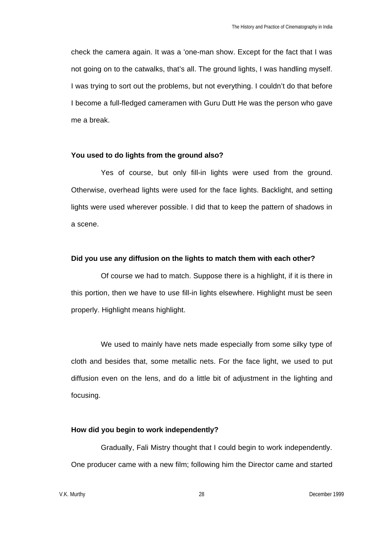check the camera again. It was a 'one-man show. Except for the fact that I was not going on to the catwalks, that's all. The ground lights, I was handling myself. I was trying to sort out the problems, but not everything. I couldn't do that before I become a full-fledged cameramen with Guru Dutt He was the person who gave me a break.

## **You used to do lights from the ground also?**

Yes of course, but only fill-in lights were used from the ground. Otherwise, overhead lights were used for the face lights. Backlight, and setting lights were used wherever possible. I did that to keep the pattern of shadows in a scene.

### **Did you use any diffusion on the lights to match them with each other?**

Of course we had to match. Suppose there is a highlight, if it is there in this portion, then we have to use fill-in lights elsewhere. Highlight must be seen properly. Highlight means highlight.

We used to mainly have nets made especially from some silky type of cloth and besides that, some metallic nets. For the face light, we used to put diffusion even on the lens, and do a little bit of adjustment in the lighting and focusing.

## **How did you begin to work independently?**

Gradually, Fali Mistry thought that I could begin to work independently. One producer came with a new film; following him the Director came and started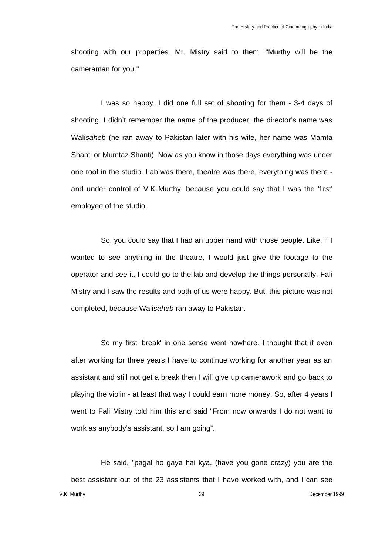shooting with our properties. Mr. Mistry said to them, "Murthy will be the cameraman for you."

I was so happy. I did one full set of shooting for them - 3-4 days of shooting. I didn't remember the name of the producer; the director's name was Wali*saheb* (he ran away to Pakistan later with his wife, her name was Mamta Shanti or Mumtaz Shanti). Now as you know in those days everything was under one roof in the studio. Lab was there, theatre was there, everything was there and under control of V.K Murthy, because you could say that I was the 'first' employee of the studio.

So, you could say that I had an upper hand with those people. Like, if I wanted to see anything in the theatre, I would just give the footage to the operator and see it. I could go to the lab and develop the things personally. Fali Mistry and I saw the results and both of us were happy. But, this picture was not completed, because Wali*saheb* ran away to Pakistan.

So my first 'break' in one sense went nowhere. I thought that if even after working for three years I have to continue working for another year as an assistant and still not get a break then I will give up camerawork and go back to playing the violin - at least that way I could earn more money. So, after 4 years I went to Fali Mistry told him this and said "From now onwards I do not want to work as anybody's assistant, so I am going".

V.K. Murthy 29 December 1999 He said, "pagal ho gaya hai kya, (have you gone crazy) you are the best assistant out of the 23 assistants that I have worked with, and I can see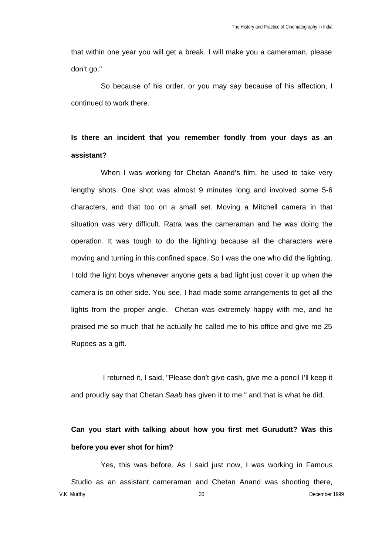that within one year you will get a break. I will make you a cameraman, please don't go."

So because of his order, or you may say because of his affection, I continued to work there.

# **Is there an incident that you remember fondly from your days as an assistant?**

When I was working for Chetan Anand's film, he used to take very lengthy shots. One shot was almost 9 minutes long and involved some 5-6 characters, and that too on a small set. Moving a Mitchell camera in that situation was very difficult. Ratra was the cameraman and he was doing the operation. It was tough to do the lighting because all the characters were moving and turning in this confined space. So I was the one who did the lighting. I told the light boys whenever anyone gets a bad light just cover it up when the camera is on other side. You see, I had made some arrangements to get all the lights from the proper angle. Chetan was extremely happy with me, and he praised me so much that he actually he called me to his office and give me 25 Rupees as a gift.

 I returned it, I said, "Please don't give cash, give me a pencil I'll keep it and proudly say that Chetan *Saab* has given it to me." and that is what he did.

# **Can you start with talking about how you first met Gurudutt? Was this before you ever shot for him?**

V.K. Murthy 30 December 1999 Yes, this was before. As I said just now, I was working in Famous Studio as an assistant cameraman and Chetan Anand was shooting there,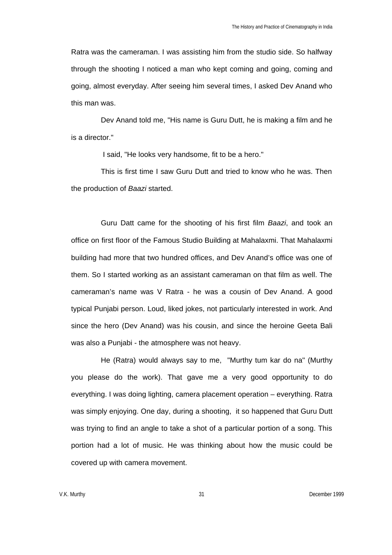Ratra was the cameraman. I was assisting him from the studio side. So halfway through the shooting I noticed a man who kept coming and going, coming and going, almost everyday. After seeing him several times, I asked Dev Anand who this man was.

Dev Anand told me, "His name is Guru Dutt, he is making a film and he is a director."

I said, "He looks very handsome, fit to be a hero."

This is first time I saw Guru Dutt and tried to know who he was. Then the production of *Baazi* started.

Guru Datt came for the shooting of his first film *Baazi*, and took an office on first floor of the Famous Studio Building at Mahalaxmi. That Mahalaxmi building had more that two hundred offices, and Dev Anand's office was one of them. So I started working as an assistant cameraman on that film as well. The cameraman's name was V Ratra - he was a cousin of Dev Anand. A good typical Punjabi person. Loud, liked jokes, not particularly interested in work. And since the hero (Dev Anand) was his cousin, and since the heroine Geeta Bali was also a Punjabi - the atmosphere was not heavy.

He (Ratra) would always say to me, "Murthy tum kar do na" (Murthy you please do the work). That gave me a very good opportunity to do everything. I was doing lighting, camera placement operation – everything. Ratra was simply enjoying. One day, during a shooting, it so happened that Guru Dutt was trying to find an angle to take a shot of a particular portion of a song. This portion had a lot of music. He was thinking about how the music could be covered up with camera movement.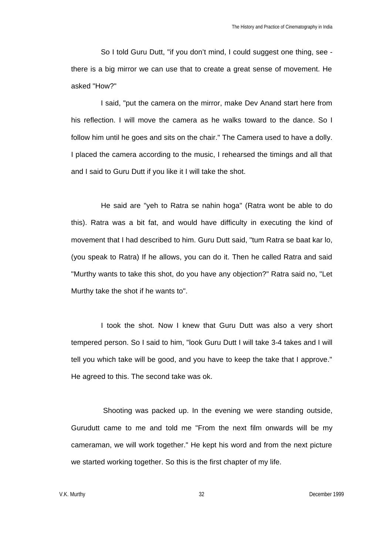So I told Guru Dutt, "if you don't mind, I could suggest one thing, see there is a big mirror we can use that to create a great sense of movement. He asked "How?"

I said, "put the camera on the mirror, make Dev Anand start here from his reflection. I will move the camera as he walks toward to the dance. So I follow him until he goes and sits on the chair." The Camera used to have a dolly. I placed the camera according to the music, I rehearsed the timings and all that and I said to Guru Dutt if you like it I will take the shot.

He said are "yeh to Ratra se nahin hoga" (Ratra wont be able to do this). Ratra was a bit fat, and would have difficulty in executing the kind of movement that I had described to him. Guru Dutt said, "tum Ratra se baat kar lo, (you speak to Ratra) If he allows, you can do it. Then he called Ratra and said "Murthy wants to take this shot, do you have any objection?" Ratra said no, "Let Murthy take the shot if he wants to".

I took the shot. Now I knew that Guru Dutt was also a very short tempered person. So I said to him, "look Guru Dutt I will take 3-4 takes and I will tell you which take will be good, and you have to keep the take that I approve." He agreed to this. The second take was ok.

 Shooting was packed up. In the evening we were standing outside, Gurudutt came to me and told me "From the next film onwards will be my cameraman, we will work together." He kept his word and from the next picture we started working together. So this is the first chapter of my life.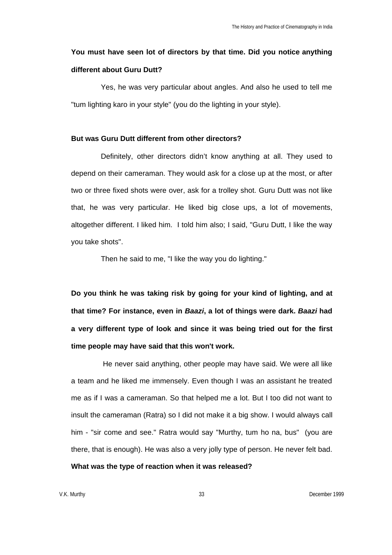## **You must have seen lot of directors by that time. Did you notice anything different about Guru Dutt?**

Yes, he was very particular about angles. And also he used to tell me "tum lighting karo in your style" (you do the lighting in your style).

### **But was Guru Dutt different from other directors?**

Definitely, other directors didn't know anything at all. They used to depend on their cameraman. They would ask for a close up at the most, or after two or three fixed shots were over, ask for a trolley shot. Guru Dutt was not like that, he was very particular. He liked big close ups, a lot of movements, altogether different. I liked him. I told him also; I said, "Guru Dutt, I like the way you take shots".

Then he said to me, "I like the way you do lighting."

**Do you think he was taking risk by going for your kind of lighting, and at that time? For instance, even in** *Baazi***, a lot of things were dark.** *Baazi* **had a very different type of look and since it was being tried out for the first time people may have said that this won't work.**

He never said anything, other people may have said. We were all like a team and he liked me immensely. Even though I was an assistant he treated me as if I was a cameraman. So that helped me a lot. But I too did not want to insult the cameraman (Ratra) so I did not make it a big show. I would always call him - "sir come and see." Ratra would say "Murthy, tum ho na, bus" (you are there, that is enough). He was also a very jolly type of person. He never felt bad.

## **What was the type of reaction when it was released?**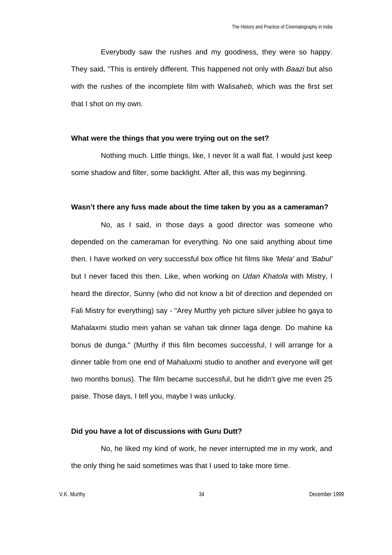Everybody saw the rushes and my goodness, they were so happy. They said, "This is entirely different. This happened not only with *Baazi* but also with the rushes of the incomplete film with Wali*saheb*, which was the first set that I shot on my own.

## **What were the things that you were trying out on the set?**

Nothing much. Little things, like, I never lit a wall flat. I would just keep some shadow and filter, some backlight. After all, this was my beginning.

#### **Wasn't there any fuss made about the time taken by you as a cameraman?**

No, as I said, in those days a good director was someone who depended on the cameraman for everything. No one said anything about time then. I have worked on very successful box office hit films like *'Mela'* and *'Babul'* but I never faced this then. Like, when working on *Udan Khatola* with Mistry, I heard the director, Sunny (who did not know a bit of direction and depended on Fali Mistry for everything) say - "Arey Murthy yeh picture silver jublee ho gaya to Mahalaxmi studio mein yahan se vahan tak dinner laga denge. Do mahine ka bonus de dunga." (Murthy if this film becomes successful, I will arrange for a dinner table from one end of Mahaluxmi studio to another and everyone will get two months bonus). The film became successful, but he didn't give me even 25 paise. Those days, I tell you, maybe I was unlucky.

## **Did you have a lot of discussions with Guru Dutt?**

No, he liked my kind of work, he never interrupted me in my work, and the only thing he said sometimes was that I used to take more time.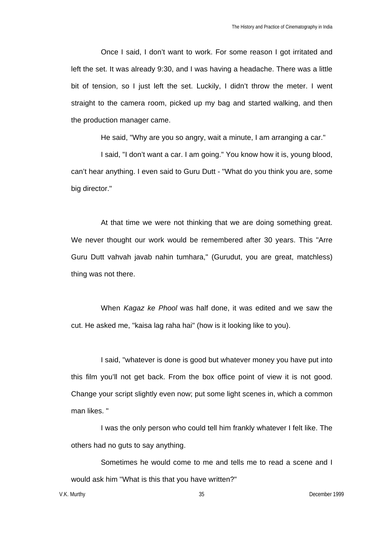Once I said, I don't want to work. For some reason I got irritated and left the set. It was already 9:30, and I was having a headache. There was a little bit of tension, so I just left the set. Luckily, I didn't throw the meter. I went straight to the camera room, picked up my bag and started walking, and then the production manager came.

He said, "Why are you so angry, wait a minute, I am arranging a car."

I said, "I don't want a car. I am going." You know how it is, young blood, can't hear anything. I even said to Guru Dutt - "What do you think you are, some big director."

At that time we were not thinking that we are doing something great. We never thought our work would be remembered after 30 years. This "Arre Guru Dutt vahvah javab nahin tumhara," (Gurudut, you are great, matchless) thing was not there.

When *Kagaz ke Phool* was half done, it was edited and we saw the cut. He asked me, "kaisa lag raha hai" (how is it looking like to you).

I said, "whatever is done is good but whatever money you have put into this film you'll not get back. From the box office point of view it is not good. Change your script slightly even now; put some light scenes in, which a common man likes. "

I was the only person who could tell him frankly whatever I felt like. The others had no guts to say anything.

Sometimes he would come to me and tells me to read a scene and I would ask him "What is this that you have written?"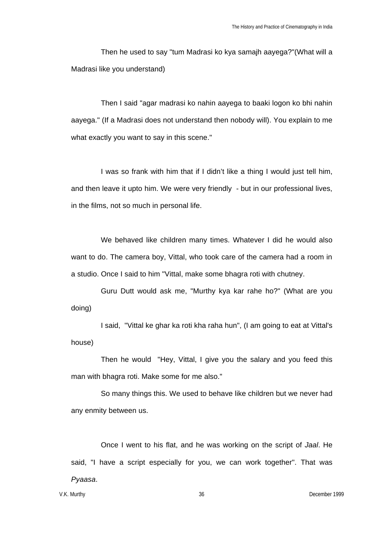Then he used to say "tum Madrasi ko kya samajh aayega?"(What will a Madrasi like you understand)

Then I said "agar madrasi ko nahin aayega to baaki logon ko bhi nahin aayega." (If a Madrasi does not understand then nobody will). You explain to me what exactly you want to say in this scene."

I was so frank with him that if I didn't like a thing I would just tell him, and then leave it upto him. We were very friendly - but in our professional lives, in the films, not so much in personal life.

We behaved like children many times. Whatever I did he would also want to do. The camera boy, Vittal, who took care of the camera had a room in a studio. Once I said to him "Vittal, make some bhagra roti with chutney.

Guru Dutt would ask me, "Murthy kya kar rahe ho?" (What are you doing)

I said, "Vittal ke ghar ka roti kha raha hun", (I am going to eat at Vittal's house)

Then he would "Hey, Vittal, I give you the salary and you feed this man with bhagra roti. Make some for me also."

So many things this. We used to behave like children but we never had any enmity between us.

Once I went to his flat, and he was working on the script of *Jaal*. He said, "I have a script especially for you, we can work together". That was *Pyaasa*.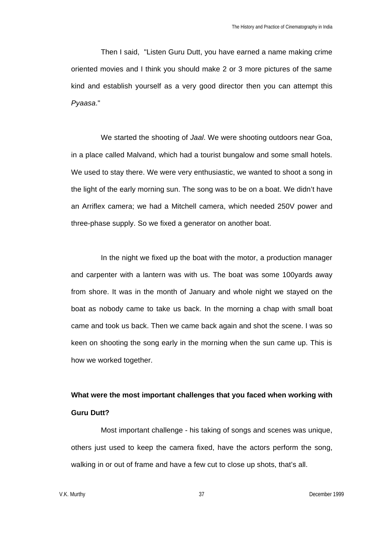Then I said, "Listen Guru Dutt, you have earned a name making crime oriented movies and I think you should make 2 or 3 more pictures of the same kind and establish yourself as a very good director then you can attempt this *Pyaasa*."

We started the shooting of *Jaal*. We were shooting outdoors near Goa, in a place called Malvand, which had a tourist bungalow and some small hotels. We used to stay there. We were very enthusiastic, we wanted to shoot a song in the light of the early morning sun. The song was to be on a boat. We didn't have an Arriflex camera; we had a Mitchell camera, which needed 250V power and three-phase supply. So we fixed a generator on another boat.

In the night we fixed up the boat with the motor, a production manager and carpenter with a lantern was with us. The boat was some 100yards away from shore. It was in the month of January and whole night we stayed on the boat as nobody came to take us back. In the morning a chap with small boat came and took us back. Then we came back again and shot the scene. I was so keen on shooting the song early in the morning when the sun came up. This is how we worked together.

# **What were the most important challenges that you faced when working with Guru Dutt?**

Most important challenge - his taking of songs and scenes was unique, others just used to keep the camera fixed, have the actors perform the song, walking in or out of frame and have a few cut to close up shots, that's all.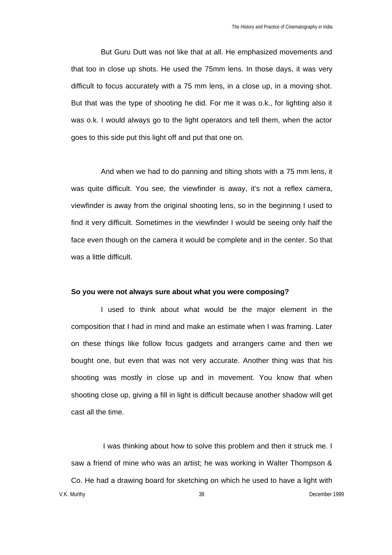But Guru Dutt was not like that at all. He emphasized movements and that too in close up shots. He used the 75mm lens. In those days, it was very difficult to focus accurately with a 75 mm lens, in a close up, in a moving shot. But that was the type of shooting he did. For me it was o.k., for lighting also it was o.k. I would always go to the light operators and tell them, when the actor goes to this side put this light off and put that one on.

And when we had to do panning and tilting shots with a 75 mm lens, it was quite difficult. You see, the viewfinder is away, it's not a reflex camera, viewfinder is away from the original shooting lens, so in the beginning I used to find it very difficult. Sometimes in the viewfinder I would be seeing only half the face even though on the camera it would be complete and in the center. So that was a little difficult.

## **So you were not always sure about what you were composing?**

I used to think about what would be the major element in the composition that I had in mind and make an estimate when I was framing. Later on these things like follow focus gadgets and arrangers came and then we bought one, but even that was not very accurate. Another thing was that his shooting was mostly in close up and in movement. You know that when shooting close up, giving a fill in light is difficult because another shadow will get cast all the time.

V.K. Murthy 38 December 1999 I was thinking about how to solve this problem and then it struck me. I saw a friend of mine who was an artist; he was working in Walter Thompson & Co. He had a drawing board for sketching on which he used to have a light with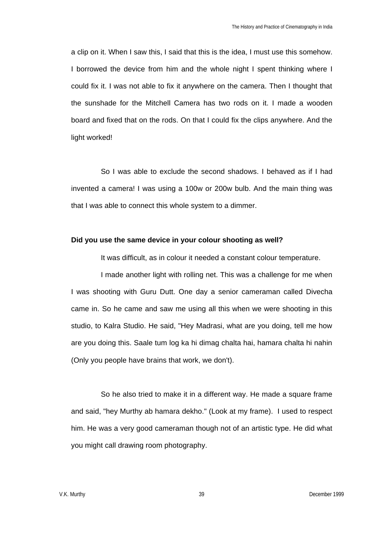a clip on it. When I saw this, I said that this is the idea, I must use this somehow. I borrowed the device from him and the whole night I spent thinking where I could fix it. I was not able to fix it anywhere on the camera. Then I thought that the sunshade for the Mitchell Camera has two rods on it. I made a wooden board and fixed that on the rods. On that I could fix the clips anywhere. And the light worked!

So I was able to exclude the second shadows. I behaved as if I had invented a camera! I was using a 100w or 200w bulb. And the main thing was that I was able to connect this whole system to a dimmer.

#### **Did you use the same device in your colour shooting as well?**

It was difficult, as in colour it needed a constant colour temperature.

I made another light with rolling net. This was a challenge for me when I was shooting with Guru Dutt. One day a senior cameraman called Divecha came in. So he came and saw me using all this when we were shooting in this studio, to Kalra Studio. He said, "Hey Madrasi, what are you doing, tell me how are you doing this. Saale tum log ka hi dimag chalta hai, hamara chalta hi nahin (Only you people have brains that work, we don't).

So he also tried to make it in a different way. He made a square frame and said, "hey Murthy ab hamara dekho." (Look at my frame). I used to respect him. He was a very good cameraman though not of an artistic type. He did what you might call drawing room photography.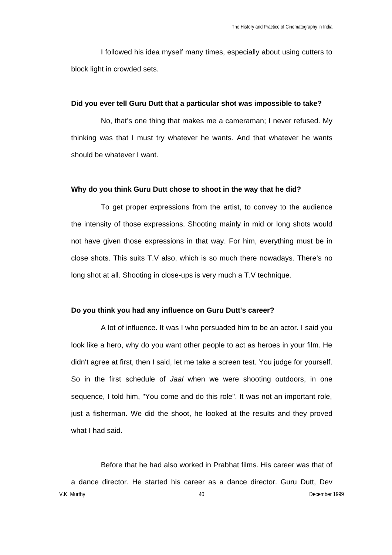I followed his idea myself many times, especially about using cutters to block light in crowded sets.

#### **Did you ever tell Guru Dutt that a particular shot was impossible to take?**

No, that's one thing that makes me a cameraman; I never refused. My thinking was that I must try whatever he wants. And that whatever he wants should be whatever I want.

### **Why do you think Guru Dutt chose to shoot in the way that he did?**

To get proper expressions from the artist, to convey to the audience the intensity of those expressions. Shooting mainly in mid or long shots would not have given those expressions in that way. For him, everything must be in close shots. This suits T.V also, which is so much there nowadays. There's no long shot at all. Shooting in close-ups is very much a T.V technique.

#### **Do you think you had any influence on Guru Dutt's career?**

A lot of influence. It was I who persuaded him to be an actor. I said you look like a hero, why do you want other people to act as heroes in your film. He didn't agree at first, then I said, let me take a screen test. You judge for yourself. So in the first schedule of *Jaal* when we were shooting outdoors, in one sequence, I told him, "You come and do this role". It was not an important role, just a fisherman. We did the shoot, he looked at the results and they proved what I had said.

V.K. Murthy 40 December 1999 Before that he had also worked in Prabhat films. His career was that of a dance director. He started his career as a dance director. Guru Dutt, Dev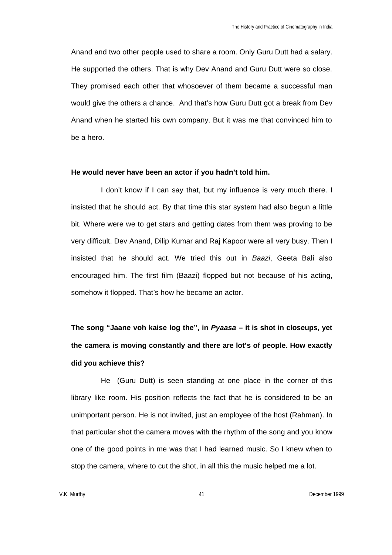Anand and two other people used to share a room. Only Guru Dutt had a salary. He supported the others. That is why Dev Anand and Guru Dutt were so close. They promised each other that whosoever of them became a successful man would give the others a chance. And that's how Guru Dutt got a break from Dev Anand when he started his own company. But it was me that convinced him to be a hero.

### **He would never have been an actor if you hadn't told him.**

I don't know if I can say that, but my influence is very much there. I insisted that he should act. By that time this star system had also begun a little bit. Where were we to get stars and getting dates from them was proving to be very difficult. Dev Anand, Dilip Kumar and Raj Kapoor were all very busy. Then I insisted that he should act. We tried this out in *Baazi*, Geeta Bali also encouraged him. The first film (Baazi) flopped but not because of his acting, somehow it flopped. That's how he became an actor.

**The song "Jaane voh kaise log the", in** *Pyaasa* **– it is shot in closeups, yet the camera is moving constantly and there are lot's of people. How exactly did you achieve this?**

He (Guru Dutt) is seen standing at one place in the corner of this library like room. His position reflects the fact that he is considered to be an unimportant person. He is not invited, just an employee of the host (Rahman). In that particular shot the camera moves with the rhythm of the song and you know one of the good points in me was that I had learned music. So I knew when to stop the camera, where to cut the shot, in all this the music helped me a lot.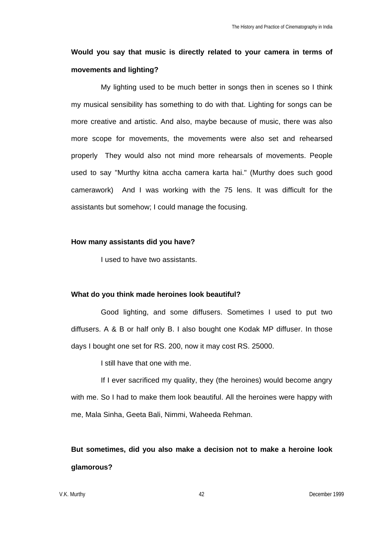# **Would you say that music is directly related to your camera in terms of movements and lighting?**

My lighting used to be much better in songs then in scenes so I think my musical sensibility has something to do with that. Lighting for songs can be more creative and artistic. And also, maybe because of music, there was also more scope for movements, the movements were also set and rehearsed properly They would also not mind more rehearsals of movements. People used to say "Murthy kitna accha camera karta hai." (Murthy does such good camerawork) And I was working with the 75 lens. It was difficult for the assistants but somehow; I could manage the focusing.

## **How many assistants did you have?**

I used to have two assistants.

## **What do you think made heroines look beautiful?**

Good lighting, and some diffusers. Sometimes I used to put two diffusers. A & B or half only B. I also bought one Kodak MP diffuser. In those days I bought one set for RS. 200, now it may cost RS. 25000.

I still have that one with me.

If I ever sacrificed my quality, they (the heroines) would become angry with me. So I had to make them look beautiful. All the heroines were happy with me, Mala Sinha, Geeta Bali, Nimmi, Waheeda Rehman.

# **But sometimes, did you also make a decision not to make a heroine look glamorous?**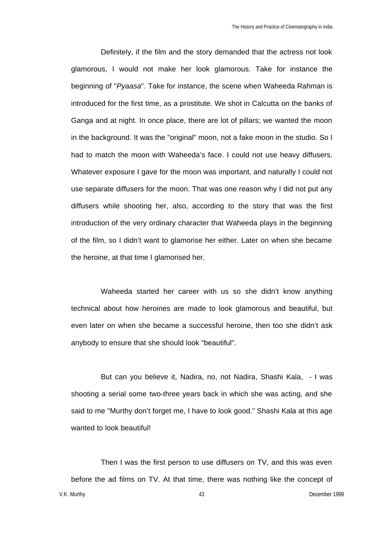Definitely, if the film and the story demanded that the actress not look glamorous, I would not make her look glamorous. Take for instance the beginning of "*Pyaasa*". Take for instance, the scene when Waheeda Rahman is introduced for the first time, as a prostitute. We shot in Calcutta on the banks of Ganga and at night. In once place, there are lot of pillars; we wanted the moon in the background. It was the "original" moon, not a fake moon in the studio. So I had to match the moon with Waheeda's face. I could not use heavy diffusers. Whatever exposure I gave for the moon was important, and naturally I could not use separate diffusers for the moon. That was one reason why I did not put any diffusers while shooting her, also, according to the story that was the first introduction of the very ordinary character that Waheeda plays in the beginning of the film, so I didn't want to glamorise her either. Later on when she became the heroine, at that time I glamorised her.

Waheeda started her career with us so she didn't know anything technical about how heroines are made to look glamorous and beautiful, but even later on when she became a successful heroine, then too she didn't ask anybody to ensure that she should look "beautiful".

But can you believe it, Nadira, no, not Nadira, Shashi Kala, - I was shooting a serial some two-three years back in which she was acting, and she said to me "Murthy don't forget me, I have to look good." Shashi Kala at this age wanted to look beautiful!

V.K. Murthy 43 December 1999 Then I was the first person to use diffusers on TV, and this was even before the ad films on TV. At that time, there was nothing like the concept of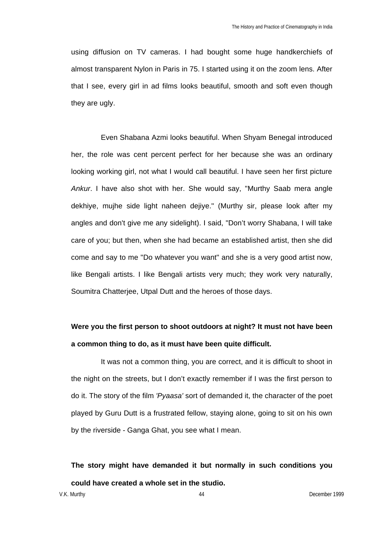using diffusion on TV cameras. I had bought some huge handkerchiefs of almost transparent Nylon in Paris in 75. I started using it on the zoom lens. After that I see, every girl in ad films looks beautiful, smooth and soft even though they are ugly.

Even Shabana Azmi looks beautiful. When Shyam Benegal introduced her, the role was cent percent perfect for her because she was an ordinary looking working girl, not what I would call beautiful. I have seen her first picture *Ankur*. I have also shot with her. She would say, "Murthy Saab mera angle dekhiye, mujhe side light naheen dejiye." (Murthy sir, please look after my angles and don't give me any sidelight). I said, "Don't worry Shabana, I will take care of you; but then, when she had became an established artist, then she did come and say to me "Do whatever you want" and she is a very good artist now, like Bengali artists. I like Bengali artists very much; they work very naturally, Soumitra Chatterjee, Utpal Dutt and the heroes of those days.

## **Were you the first person to shoot outdoors at night? It must not have been a common thing to do, as it must have been quite difficult.**

It was not a common thing, you are correct, and it is difficult to shoot in the night on the streets, but I don't exactly remember if I was the first person to do it. The story of the film *'Pyaasa'* sort of demanded it, the character of the poet played by Guru Dutt is a frustrated fellow, staying alone, going to sit on his own by the riverside - Ganga Ghat, you see what I mean.

**The story might have demanded it but normally in such conditions you could have created a whole set in the studio.**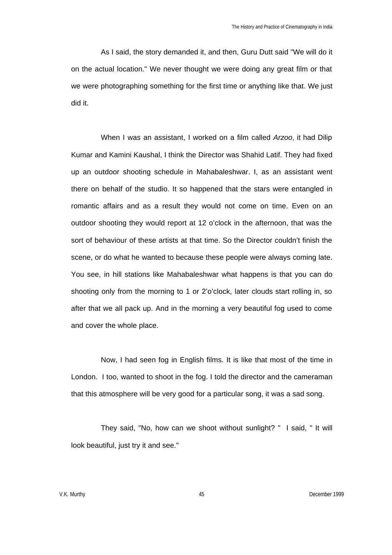As I said, the story demanded it, and then, Guru Dutt said "We will do it on the actual location." We never thought we were doing any great film or that we were photographing something for the first time or anything like that. We just did it.

When I was an assistant, I worked on a film called *Arzoo*, it had Dilip Kumar and Kamini Kaushal, I think the Director was Shahid Latif. They had fixed up an outdoor shooting schedule in Mahabaleshwar. I, as an assistant went there on behalf of the studio. It so happened that the stars were entangled in romantic affairs and as a result they would not come on time. Even on an outdoor shooting they would report at 12 o'clock in the afternoon, that was the sort of behaviour of these artists at that time. So the Director couldn't finish the scene, or do what he wanted to because these people were always coming late. You see, in hill stations like Mahabaleshwar what happens is that you can do shooting only from the morning to 1 or 2'o'clock, later clouds start rolling in, so after that we all pack up. And in the morning a very beautiful fog used to come and cover the whole place.

Now, I had seen fog in English films. It is like that most of the time in London. I too, wanted to shoot in the fog. I told the director and the cameraman that this atmosphere will be very good for a particular song, it was a sad song.

They said, "No, how can we shoot without sunlight? " I said, " It will look beautiful, just try it and see."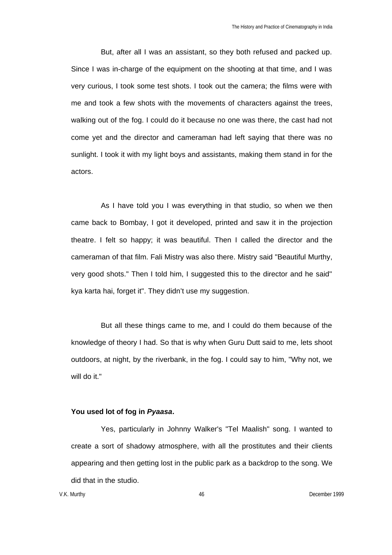But, after all I was an assistant, so they both refused and packed up. Since I was in-charge of the equipment on the shooting at that time, and I was very curious, I took some test shots. I took out the camera; the films were with me and took a few shots with the movements of characters against the trees, walking out of the fog. I could do it because no one was there, the cast had not come yet and the director and cameraman had left saying that there was no sunlight. I took it with my light boys and assistants, making them stand in for the actors.

As I have told you I was everything in that studio, so when we then came back to Bombay, I got it developed, printed and saw it in the projection theatre. I felt so happy; it was beautiful. Then I called the director and the cameraman of that film. Fali Mistry was also there. Mistry said "Beautiful Murthy, very good shots." Then I told him, I suggested this to the director and he said" kya karta hai, forget it". They didn't use my suggestion.

But all these things came to me, and I could do them because of the knowledge of theory I had. So that is why when Guru Dutt said to me, lets shoot outdoors, at night, by the riverbank, in the fog. I could say to him, "Why not, we will do it."

## **You used lot of fog in** *Pyaasa***.**

Yes, particularly in Johnny Walker's "Tel Maalish" song. I wanted to create a sort of shadowy atmosphere, with all the prostitutes and their clients appearing and then getting lost in the public park as a backdrop to the song. We did that in the studio.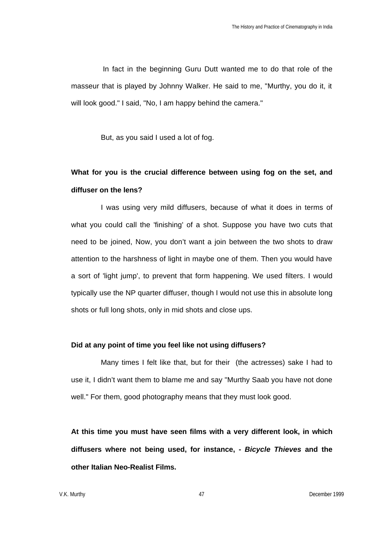In fact in the beginning Guru Dutt wanted me to do that role of the masseur that is played by Johnny Walker. He said to me, "Murthy, you do it, it will look good." I said, "No, I am happy behind the camera."

But, as you said I used a lot of fog.

# **What for you is the crucial difference between using fog on the set, and diffuser on the lens?**

I was using very mild diffusers, because of what it does in terms of what you could call the 'finishing' of a shot. Suppose you have two cuts that need to be joined, Now, you don't want a join between the two shots to draw attention to the harshness of light in maybe one of them. Then you would have a sort of 'light jump', to prevent that form happening. We used filters. I would typically use the NP quarter diffuser, though I would not use this in absolute long shots or full long shots, only in mid shots and close ups.

## **Did at any point of time you feel like not using diffusers?**

Many times I felt like that, but for their (the actresses) sake I had to use it, I didn't want them to blame me and say "Murthy Saab you have not done well." For them, good photography means that they must look good.

**At this time you must have seen films with a very different look, in which diffusers where not being used, for instance, -** *Bicycle Thieves* **and the other Italian Neo-Realist Films.**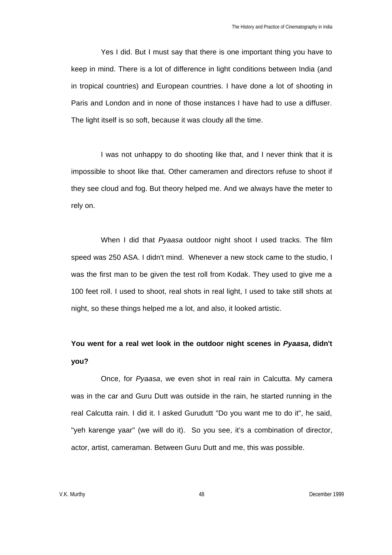Yes I did. But I must say that there is one important thing you have to keep in mind. There is a lot of difference in light conditions between India (and in tropical countries) and European countries. I have done a lot of shooting in Paris and London and in none of those instances I have had to use a diffuser. The light itself is so soft, because it was cloudy all the time.

I was not unhappy to do shooting like that, and I never think that it is impossible to shoot like that. Other cameramen and directors refuse to shoot if they see cloud and fog. But theory helped me. And we always have the meter to rely on.

When I did that *Pyaasa* outdoor night shoot I used tracks. The film speed was 250 ASA. I didn't mind. Whenever a new stock came to the studio, I was the first man to be given the test roll from Kodak. They used to give me a 100 feet roll. I used to shoot, real shots in real light, I used to take still shots at night, so these things helped me a lot, and also, it looked artistic.

# **You went for a real wet look in the outdoor night scenes in** *Pyaasa***, didn't you?**

Once, for *Pyaasa*, we even shot in real rain in Calcutta. My camera was in the car and Guru Dutt was outside in the rain, he started running in the real Calcutta rain. I did it. I asked Gurudutt "Do you want me to do it", he said, "yeh karenge yaar" (we will do it). So you see, it's a combination of director, actor, artist, cameraman. Between Guru Dutt and me, this was possible.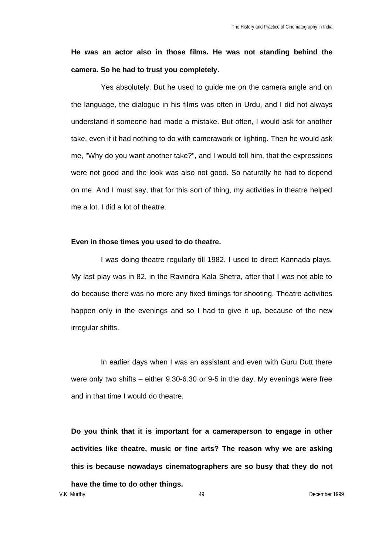**He was an actor also in those films. He was not standing behind the camera. So he had to trust you completely.**

Yes absolutely. But he used to guide me on the camera angle and on the language, the dialogue in his films was often in Urdu, and I did not always understand if someone had made a mistake. But often, I would ask for another take, even if it had nothing to do with camerawork or lighting. Then he would ask me, "Why do you want another take?", and I would tell him, that the expressions were not good and the look was also not good. So naturally he had to depend on me. And I must say, that for this sort of thing, my activities in theatre helped me a lot. I did a lot of theatre.

## **Even in those times you used to do theatre.**

I was doing theatre regularly till 1982. I used to direct Kannada plays. My last play was in 82, in the Ravindra Kala Shetra, after that I was not able to do because there was no more any fixed timings for shooting. Theatre activities happen only in the evenings and so I had to give it up, because of the new irregular shifts.

In earlier days when I was an assistant and even with Guru Dutt there were only two shifts – either 9.30-6.30 or 9-5 in the day. My evenings were free and in that time I would do theatre.

**Do you think that it is important for a cameraperson to engage in other activities like theatre, music or fine arts? The reason why we are asking this is because nowadays cinematographers are so busy that they do not have the time to do other things.**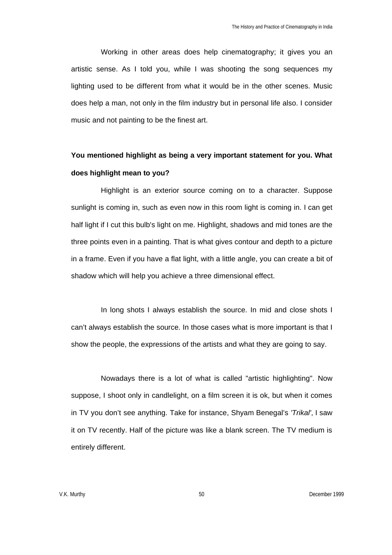Working in other areas does help cinematography; it gives you an artistic sense. As I told you, while I was shooting the song sequences my lighting used to be different from what it would be in the other scenes. Music does help a man, not only in the film industry but in personal life also. I consider music and not painting to be the finest art.

# **You mentioned highlight as being a very important statement for you. What does highlight mean to you?**

Highlight is an exterior source coming on to a character. Suppose sunlight is coming in, such as even now in this room light is coming in. I can get half light if I cut this bulb's light on me. Highlight, shadows and mid tones are the three points even in a painting. That is what gives contour and depth to a picture in a frame. Even if you have a flat light, with a little angle, you can create a bit of shadow which will help you achieve a three dimensional effect.

In long shots I always establish the source. In mid and close shots I can't always establish the source. In those cases what is more important is that I show the people, the expressions of the artists and what they are going to say.

Nowadays there is a lot of what is called "artistic highlighting". Now suppose, I shoot only in candlelight, on a film screen it is ok, but when it comes in TV you don't see anything. Take for instance, Shyam Benegal's *'Trikal'*, I saw it on TV recently. Half of the picture was like a blank screen. The TV medium is entirely different.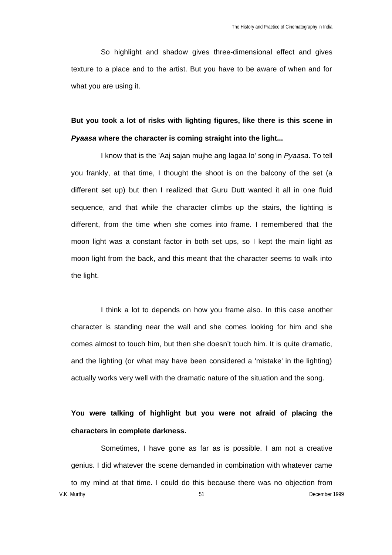So highlight and shadow gives three-dimensional effect and gives texture to a place and to the artist. But you have to be aware of when and for what you are using it.

**But you took a lot of risks with lighting figures, like there is this scene in** *Pyaasa* **where the character is coming straight into the light...**

I know that is the 'Aaj sajan mujhe ang lagaa lo' song in *Pyaasa*. To tell you frankly, at that time, I thought the shoot is on the balcony of the set (a different set up) but then I realized that Guru Dutt wanted it all in one fluid sequence, and that while the character climbs up the stairs, the lighting is different, from the time when she comes into frame. I remembered that the moon light was a constant factor in both set ups, so I kept the main light as moon light from the back, and this meant that the character seems to walk into the light.

I think a lot to depends on how you frame also. In this case another character is standing near the wall and she comes looking for him and she comes almost to touch him, but then she doesn't touch him. It is quite dramatic, and the lighting (or what may have been considered a 'mistake' in the lighting) actually works very well with the dramatic nature of the situation and the song.

**You were talking of highlight but you were not afraid of placing the characters in complete darkness.**

V.K. Murthy 51 December 1999 Sometimes, I have gone as far as is possible. I am not a creative genius. I did whatever the scene demanded in combination with whatever came to my mind at that time. I could do this because there was no objection from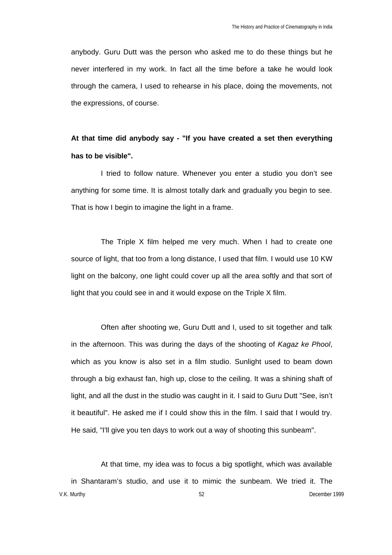anybody. Guru Dutt was the person who asked me to do these things but he never interfered in my work. In fact all the time before a take he would look through the camera, I used to rehearse in his place, doing the movements, not the expressions, of course.

## **At that time did anybody say - "If you have created a set then everything has to be visible".**

I tried to follow nature. Whenever you enter a studio you don't see anything for some time. It is almost totally dark and gradually you begin to see. That is how I begin to imagine the light in a frame.

The Triple X film helped me very much. When I had to create one source of light, that too from a long distance, I used that film. I would use 10 KW light on the balcony, one light could cover up all the area softly and that sort of light that you could see in and it would expose on the Triple X film.

Often after shooting we, Guru Dutt and I, used to sit together and talk in the afternoon. This was during the days of the shooting of *Kagaz ke Phool*, which as you know is also set in a film studio. Sunlight used to beam down through a big exhaust fan, high up, close to the ceiling. It was a shining shaft of light, and all the dust in the studio was caught in it. I said to Guru Dutt "See, isn't it beautiful". He asked me if I could show this in the film. I said that I would try. He said, "I'll give you ten days to work out a way of shooting this sunbeam".

V.K. Murthy 52 December 1999 At that time, my idea was to focus a big spotlight, which was available in Shantaram's studio, and use it to mimic the sunbeam. We tried it. The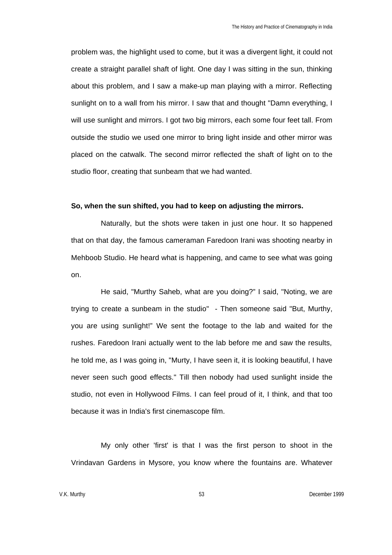problem was, the highlight used to come, but it was a divergent light, it could not create a straight parallel shaft of light. One day I was sitting in the sun, thinking about this problem, and I saw a make-up man playing with a mirror. Reflecting sunlight on to a wall from his mirror. I saw that and thought "Damn everything, I will use sunlight and mirrors. I got two big mirrors, each some four feet tall. From outside the studio we used one mirror to bring light inside and other mirror was placed on the catwalk. The second mirror reflected the shaft of light on to the studio floor, creating that sunbeam that we had wanted.

## **So, when the sun shifted, you had to keep on adjusting the mirrors.**

Naturally, but the shots were taken in just one hour. It so happened that on that day, the famous cameraman Faredoon Irani was shooting nearby in Mehboob Studio. He heard what is happening, and came to see what was going on.

He said, "Murthy Saheb, what are you doing?" I said, "Noting, we are trying to create a sunbeam in the studio" - Then someone said "But, Murthy, you are using sunlight!" We sent the footage to the lab and waited for the rushes. Faredoon Irani actually went to the lab before me and saw the results, he told me, as I was going in, "Murty, I have seen it, it is looking beautiful, I have never seen such good effects." Till then nobody had used sunlight inside the studio, not even in Hollywood Films. I can feel proud of it, I think, and that too because it was in India's first cinemascope film.

My only other 'first' is that I was the first person to shoot in the Vrindavan Gardens in Mysore, you know where the fountains are. Whatever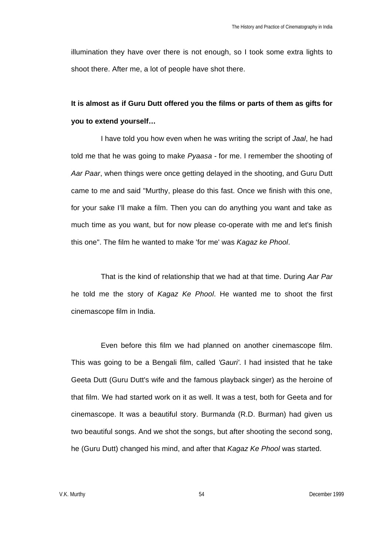illumination they have over there is not enough, so I took some extra lights to shoot there. After me, a lot of people have shot there.

**It is almost as if Guru Dutt offered you the films or parts of them as gifts for you to extend yourself…**

I have told you how even when he was writing the script of *Jaal*, he had told me that he was going to make *Pyaasa* - for me. I remember the shooting of *Aar Paar*, when things were once getting delayed in the shooting, and Guru Dutt came to me and said "Murthy, please do this fast. Once we finish with this one, for your sake I'll make a film. Then you can do anything you want and take as much time as you want, but for now please co-operate with me and let's finish this one". The film he wanted to make 'for me' was *Kagaz ke Phool*.

That is the kind of relationship that we had at that time. During *Aar Par* he told me the story of *Kagaz Ke Phool*. He wanted me to shoot the first cinemascope film in India.

Even before this film we had planned on another cinemascope film. This was going to be a Bengali film, called *'Gauri'*. I had insisted that he take Geeta Dutt (Guru Dutt's wife and the famous playback singer) as the heroine of that film. We had started work on it as well. It was a test, both for Geeta and for cinemascope. It was a beautiful story. Burman*da* (R.D. Burman) had given us two beautiful songs. And we shot the songs, but after shooting the second song, he (Guru Dutt) changed his mind, and after that *Kagaz Ke Phool* was started.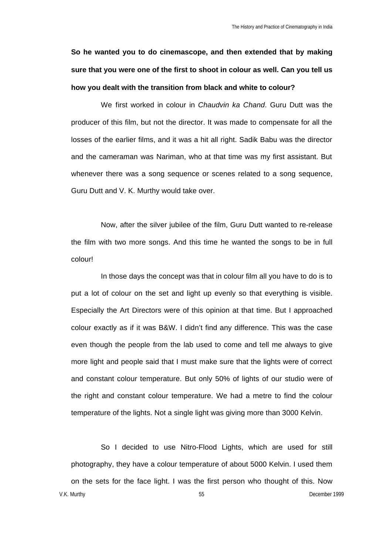**So he wanted you to do cinemascope, and then extended that by making sure that you were one of the first to shoot in colour as well. Can you tell us how you dealt with the transition from black and white to colour?**

We first worked in colour in *Chaudvin ka Chand*. Guru Dutt was the producer of this film, but not the director. It was made to compensate for all the losses of the earlier films, and it was a hit all right. Sadik Babu was the director and the cameraman was Nariman, who at that time was my first assistant. But whenever there was a song sequence or scenes related to a song sequence, Guru Dutt and V. K. Murthy would take over.

Now, after the silver jubilee of the film, Guru Dutt wanted to re-release the film with two more songs. And this time he wanted the songs to be in full colour!

In those days the concept was that in colour film all you have to do is to put a lot of colour on the set and light up evenly so that everything is visible. Especially the Art Directors were of this opinion at that time. But I approached colour exactly as if it was B&W. I didn't find any difference. This was the case even though the people from the lab used to come and tell me always to give more light and people said that I must make sure that the lights were of correct and constant colour temperature. But only 50% of lights of our studio were of the right and constant colour temperature. We had a metre to find the colour temperature of the lights. Not a single light was giving more than 3000 Kelvin.

V.K. Murthy **December 1999 December 1999** So I decided to use Nitro-Flood Lights, which are used for still photography, they have a colour temperature of about 5000 Kelvin. I used them on the sets for the face light. I was the first person who thought of this. Now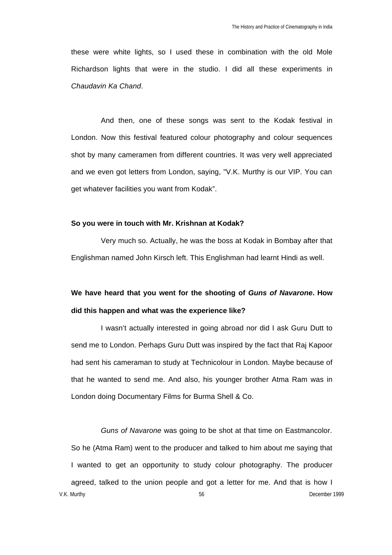these were white lights, so I used these in combination with the old Mole Richardson lights that were in the studio. I did all these experiments in *Chaudavin Ka Chand*.

And then, one of these songs was sent to the Kodak festival in London. Now this festival featured colour photography and colour sequences shot by many cameramen from different countries. It was very well appreciated and we even got letters from London, saying, "V.K. Murthy is our VIP. You can get whatever facilities you want from Kodak".

#### **So you were in touch with Mr. Krishnan at Kodak?**

Very much so. Actually, he was the boss at Kodak in Bombay after that Englishman named John Kirsch left. This Englishman had learnt Hindi as well.

# **We have heard that you went for the shooting of** *Guns of Navarone***. How did this happen and what was the experience like?**

I wasn't actually interested in going abroad nor did I ask Guru Dutt to send me to London. Perhaps Guru Dutt was inspired by the fact that Raj Kapoor had sent his cameraman to study at Technicolour in London. Maybe because of that he wanted to send me. And also, his younger brother Atma Ram was in London doing Documentary Films for Burma Shell & Co.

V.K. Murthy 56 December 1999 *Guns of Navarone* was going to be shot at that time on Eastmancolor. So he (Atma Ram) went to the producer and talked to him about me saying that I wanted to get an opportunity to study colour photography. The producer agreed, talked to the union people and got a letter for me. And that is how I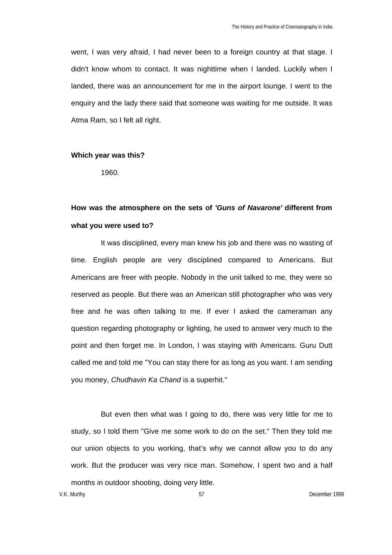went, I was very afraid, I had never been to a foreign country at that stage. I didn't know whom to contact. It was nighttime when I landed. Luckily when I landed, there was an announcement for me in the airport lounge. I went to the enquiry and the lady there said that someone was waiting for me outside. It was Atma Ram, so I felt all right.

#### **Which year was this?**

1960.

# **How was the atmosphere on the sets of** *'Guns of Navarone'* **different from what you were used to?**

It was disciplined, every man knew his job and there was no wasting of time. English people are very disciplined compared to Americans. But Americans are freer with people. Nobody in the unit talked to me, they were so reserved as people. But there was an American still photographer who was very free and he was often talking to me. If ever I asked the cameraman any question regarding photography or lighting, he used to answer very much to the point and then forget me. In London, I was staying with Americans. Guru Dutt called me and told me "You can stay there for as long as you want. I am sending you money, *Chudhavin Ka Chand* is a superhit."

But even then what was I going to do, there was very little for me to study, so I told them "Give me some work to do on the set." Then they told me our union objects to you working, that's why we cannot allow you to do any work. But the producer was very nice man. Somehow, I spent two and a half months in outdoor shooting, doing very little.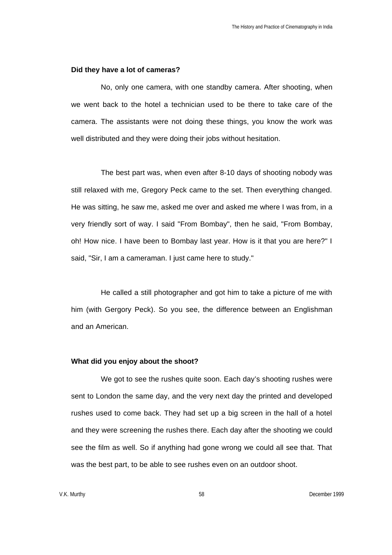#### **Did they have a lot of cameras?**

No, only one camera, with one standby camera. After shooting, when we went back to the hotel a technician used to be there to take care of the camera. The assistants were not doing these things, you know the work was well distributed and they were doing their jobs without hesitation.

The best part was, when even after 8-10 days of shooting nobody was still relaxed with me, Gregory Peck came to the set. Then everything changed. He was sitting, he saw me, asked me over and asked me where I was from, in a very friendly sort of way. I said "From Bombay", then he said, "From Bombay, oh! How nice. I have been to Bombay last year. How is it that you are here?" I said, "Sir, I am a cameraman. I just came here to study."

He called a still photographer and got him to take a picture of me with him (with Gergory Peck). So you see, the difference between an Englishman and an American.

#### **What did you enjoy about the shoot?**

We got to see the rushes quite soon. Each day's shooting rushes were sent to London the same day, and the very next day the printed and developed rushes used to come back. They had set up a big screen in the hall of a hotel and they were screening the rushes there. Each day after the shooting we could see the film as well. So if anything had gone wrong we could all see that. That was the best part, to be able to see rushes even on an outdoor shoot.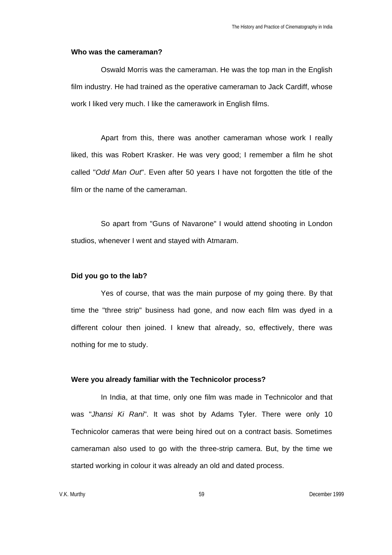#### **Who was the cameraman?**

Oswald Morris was the cameraman. He was the top man in the English film industry. He had trained as the operative cameraman to Jack Cardiff, whose work I liked very much. I like the camerawork in English films.

Apart from this, there was another cameraman whose work I really liked, this was Robert Krasker. He was very good; I remember a film he shot called "*Odd Man Out*". Even after 50 years I have not forgotten the title of the film or the name of the cameraman.

So apart from "Guns of Navarone" I would attend shooting in London studios, whenever I went and stayed with Atmaram.

#### **Did you go to the lab?**

Yes of course, that was the main purpose of my going there. By that time the "three strip" business had gone, and now each film was dyed in a different colour then joined. I knew that already, so, effectively, there was nothing for me to study.

## **Were you already familiar with the Technicolor process?**

In India, at that time, only one film was made in Technicolor and that was "*Jhansi Ki Rani*". It was shot by Adams Tyler. There were only 10 Technicolor cameras that were being hired out on a contract basis. Sometimes cameraman also used to go with the three-strip camera. But, by the time we started working in colour it was already an old and dated process.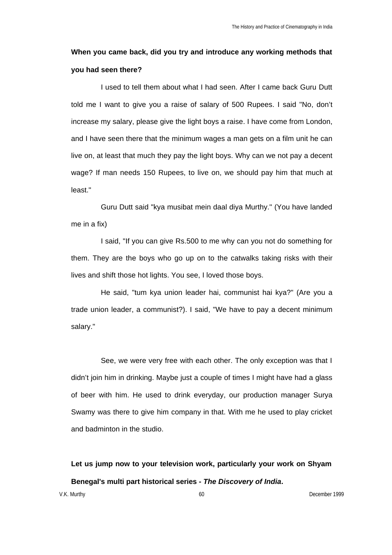## **When you came back, did you try and introduce any working methods that you had seen there?**

I used to tell them about what I had seen. After I came back Guru Dutt told me I want to give you a raise of salary of 500 Rupees. I said "No, don't increase my salary, please give the light boys a raise. I have come from London, and I have seen there that the minimum wages a man gets on a film unit he can live on, at least that much they pay the light boys. Why can we not pay a decent wage? If man needs 150 Rupees, to live on, we should pay him that much at least."

Guru Dutt said "kya musibat mein daal diya Murthy." (You have landed me in a fix)

I said, "If you can give Rs.500 to me why can you not do something for them. They are the boys who go up on to the catwalks taking risks with their lives and shift those hot lights. You see, I loved those boys.

He said, "tum kya union leader hai, communist hai kya?" (Are you a trade union leader, a communist?). I said, "We have to pay a decent minimum salary."

See, we were very free with each other. The only exception was that I didn't join him in drinking. Maybe just a couple of times I might have had a glass of beer with him. He used to drink everyday, our production manager Surya Swamy was there to give him company in that. With me he used to play cricket and badminton in the studio.

**Let us jump now to your television work, particularly your work on Shyam Benegal's multi part historical series -** *The Discovery of India***.**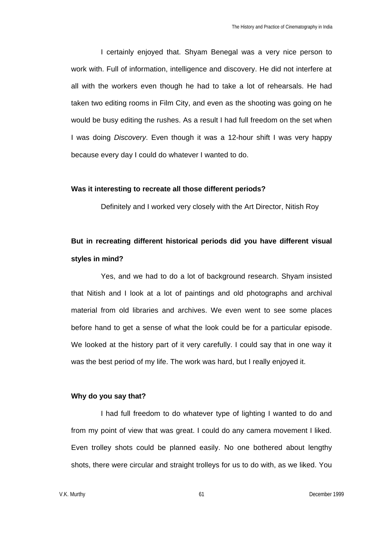I certainly enjoyed that. Shyam Benegal was a very nice person to work with. Full of information, intelligence and discovery. He did not interfere at all with the workers even though he had to take a lot of rehearsals. He had taken two editing rooms in Film City, and even as the shooting was going on he would be busy editing the rushes. As a result I had full freedom on the set when I was doing *Discovery*. Even though it was a 12-hour shift I was very happy because every day I could do whatever I wanted to do.

#### **Was it interesting to recreate all those different periods?**

Definitely and I worked very closely with the Art Director, Nitish Roy

## **But in recreating different historical periods did you have different visual styles in mind?**

Yes, and we had to do a lot of background research. Shyam insisted that Nitish and I look at a lot of paintings and old photographs and archival material from old libraries and archives. We even went to see some places before hand to get a sense of what the look could be for a particular episode. We looked at the history part of it very carefully. I could say that in one way it was the best period of my life. The work was hard, but I really enjoyed it.

## **Why do you say that?**

I had full freedom to do whatever type of lighting I wanted to do and from my point of view that was great. I could do any camera movement I liked. Even trolley shots could be planned easily. No one bothered about lengthy shots, there were circular and straight trolleys for us to do with, as we liked. You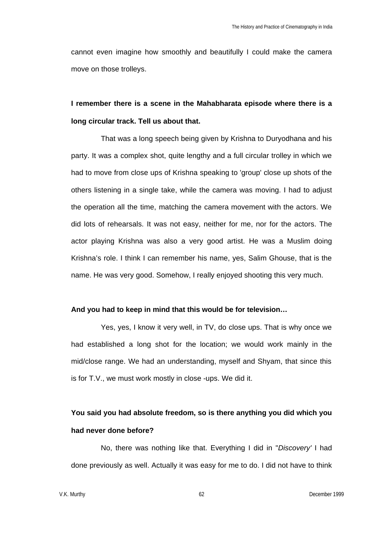cannot even imagine how smoothly and beautifully I could make the camera move on those trolleys.

**I remember there is a scene in the Mahabharata episode where there is a long circular track. Tell us about that.**

That was a long speech being given by Krishna to Duryodhana and his party. It was a complex shot, quite lengthy and a full circular trolley in which we had to move from close ups of Krishna speaking to 'group' close up shots of the others listening in a single take, while the camera was moving. I had to adjust the operation all the time, matching the camera movement with the actors. We did lots of rehearsals. It was not easy, neither for me, nor for the actors. The actor playing Krishna was also a very good artist. He was a Muslim doing Krishna's role. I think I can remember his name, yes, Salim Ghouse, that is the name. He was very good. Somehow, I really enjoyed shooting this very much.

#### **And you had to keep in mind that this would be for television…**

Yes, yes, I know it very well, in TV, do close ups. That is why once we had established a long shot for the location; we would work mainly in the mid/close range. We had an understanding, myself and Shyam, that since this is for T.V., we must work mostly in close -ups. We did it.

## **You said you had absolute freedom, so is there anything you did which you had never done before?**

No, there was nothing like that. Everything I did in "*Discovery'* I had done previously as well. Actually it was easy for me to do. I did not have to think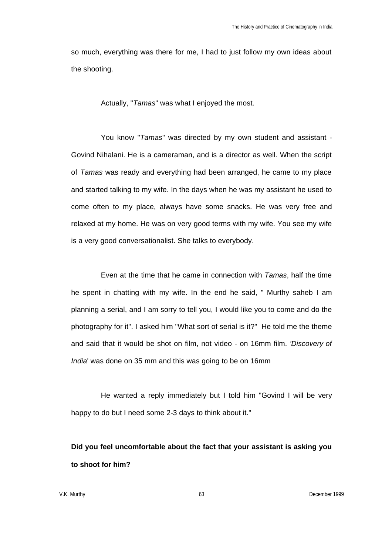so much, everything was there for me, I had to just follow my own ideas about the shooting.

Actually, "*Tamas*" was what I enjoyed the most.

You know "*Tamas*" was directed by my own student and assistant - Govind Nihalani. He is a cameraman, and is a director as well. When the script of *Tamas* was ready and everything had been arranged, he came to my place and started talking to my wife. In the days when he was my assistant he used to come often to my place, always have some snacks. He was very free and relaxed at my home. He was on very good terms with my wife. You see my wife is a very good conversationalist. She talks to everybody.

Even at the time that he came in connection with *Tamas*, half the time he spent in chatting with my wife. In the end he said, " Murthy saheb I am planning a serial, and I am sorry to tell you, I would like you to come and do the photography for it". I asked him "What sort of serial is it?" He told me the theme and said that it would be shot on film, not video - on 16mm film. *'Discovery of India*' was done on 35 mm and this was going to be on 16mm

He wanted a reply immediately but I told him "Govind I will be very happy to do but I need some 2-3 days to think about it."

# **Did you feel uncomfortable about the fact that your assistant is asking you to shoot for him?**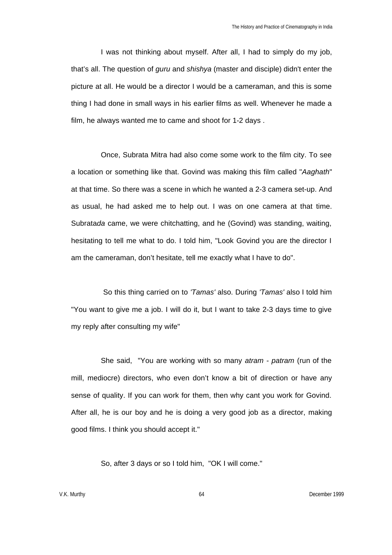I was not thinking about myself. After all, I had to simply do my job, that's all. The question of *guru* and *shishya* (master and disciple) didn't enter the picture at all. He would be a director I would be a cameraman, and this is some thing I had done in small ways in his earlier films as well. Whenever he made a film, he always wanted me to came and shoot for 1-2 days .

Once, Subrata Mitra had also come some work to the film city. To see a location or something like that. Govind was making this film called "*Aaghath*" at that time. So there was a scene in which he wanted a 2-3 camera set-up. And as usual, he had asked me to help out. I was on one camera at that time. Subrata*da* came, we were chitchatting, and he (Govind) was standing, waiting, hesitating to tell me what to do. I told him, "Look Govind you are the director I am the cameraman, don't hesitate, tell me exactly what I have to do".

 So this thing carried on to *'Tamas'* also. During *'Tamas'* also I told him "You want to give me a job. I will do it, but I want to take 2-3 days time to give my reply after consulting my wife"

She said, "You are working with so many *atram - patram* (run of the mill, mediocre) directors, who even don't know a bit of direction or have any sense of quality. If you can work for them, then why cant you work for Govind. After all, he is our boy and he is doing a very good job as a director, making good films. I think you should accept it."

So, after 3 days or so I told him, "OK I will come."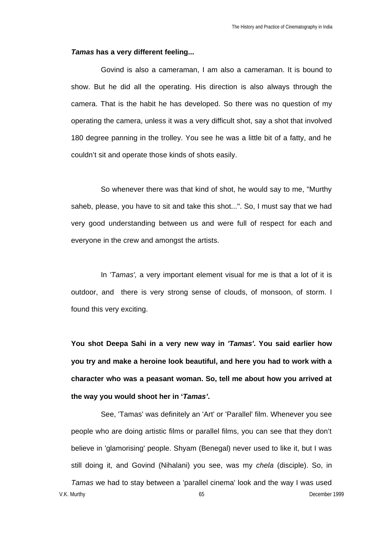#### *Tamas* **has a very different feeling...**

Govind is also a cameraman, I am also a cameraman. It is bound to show. But he did all the operating. His direction is also always through the camera. That is the habit he has developed. So there was no question of my operating the camera, unless it was a very difficult shot, say a shot that involved 180 degree panning in the trolley. You see he was a little bit of a fatty, and he couldn't sit and operate those kinds of shots easily.

So whenever there was that kind of shot, he would say to me, "Murthy saheb, please, you have to sit and take this shot...". So, I must say that we had very good understanding between us and were full of respect for each and everyone in the crew and amongst the artists.

In *'Tamas',* a very important element visual for me is that a lot of it is outdoor, and there is very strong sense of clouds, of monsoon, of storm. I found this very exciting.

**You shot Deepa Sahi in a very new way in** *'Tamas'***. You said earlier how you try and make a heroine look beautiful, and here you had to work with a character who was a peasant woman. So, tell me about how you arrived at the way you would shoot her in '***Tamas'***.**

V.K. Murthy 65 December 1999 See, 'Tamas' was definitely an 'Art' or 'Parallel' film. Whenever you see people who are doing artistic films or parallel films, you can see that they don't believe in 'glamorising' people. Shyam (Benegal) never used to like it, but I was still doing it, and Govind (Nihalani) you see, was my *chela* (disciple). So, in *Tamas* we had to stay between a 'parallel cinema' look and the way I was used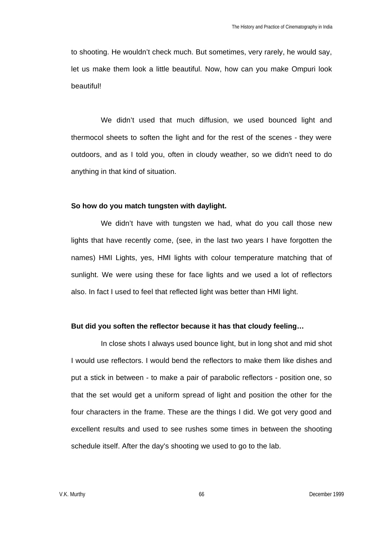to shooting. He wouldn't check much. But sometimes, very rarely, he would say, let us make them look a little beautiful. Now, how can you make Ompuri look beautiful!

We didn't used that much diffusion, we used bounced light and thermocol sheets to soften the light and for the rest of the scenes - they were outdoors, and as I told you, often in cloudy weather, so we didn't need to do anything in that kind of situation.

### **So how do you match tungsten with daylight.**

We didn't have with tungsten we had, what do you call those new lights that have recently come, (see, in the last two years I have forgotten the names) HMI Lights, yes, HMI lights with colour temperature matching that of sunlight. We were using these for face lights and we used a lot of reflectors also. In fact I used to feel that reflected light was better than HMI light.

#### **But did you soften the reflector because it has that cloudy feeling…**

In close shots I always used bounce light, but in long shot and mid shot I would use reflectors. I would bend the reflectors to make them like dishes and put a stick in between - to make a pair of parabolic reflectors - position one, so that the set would get a uniform spread of light and position the other for the four characters in the frame. These are the things I did. We got very good and excellent results and used to see rushes some times in between the shooting schedule itself. After the day's shooting we used to go to the lab.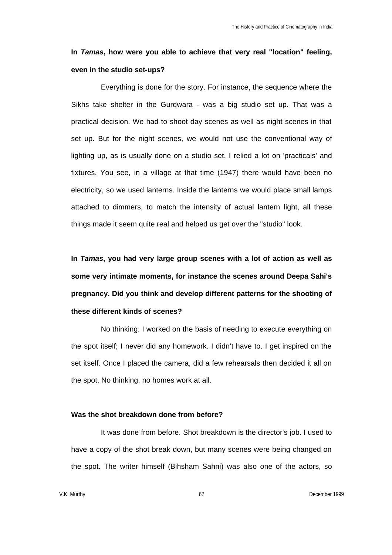## **In** *Tamas***, how were you able to achieve that very real "location" feeling, even in the studio set-ups?**

Everything is done for the story. For instance, the sequence where the Sikhs take shelter in the Gurdwara - was a big studio set up. That was a practical decision. We had to shoot day scenes as well as night scenes in that set up. But for the night scenes, we would not use the conventional way of lighting up, as is usually done on a studio set. I relied a lot on 'practicals' and fixtures. You see, in a village at that time (1947) there would have been no electricity, so we used lanterns. Inside the lanterns we would place small lamps attached to dimmers, to match the intensity of actual lantern light, all these things made it seem quite real and helped us get over the "studio" look.

**In** *Tamas***, you had very large group scenes with a lot of action as well as some very intimate moments, for instance the scenes around Deepa Sahi's pregnancy. Did you think and develop different patterns for the shooting of these different kinds of scenes?**

No thinking. I worked on the basis of needing to execute everything on the spot itself; I never did any homework. I didn't have to. I get inspired on the set itself. Once I placed the camera, did a few rehearsals then decided it all on the spot. No thinking, no homes work at all.

## **Was the shot breakdown done from before?**

It was done from before. Shot breakdown is the director's job. I used to have a copy of the shot break down, but many scenes were being changed on the spot. The writer himself (Bihsham Sahni) was also one of the actors, so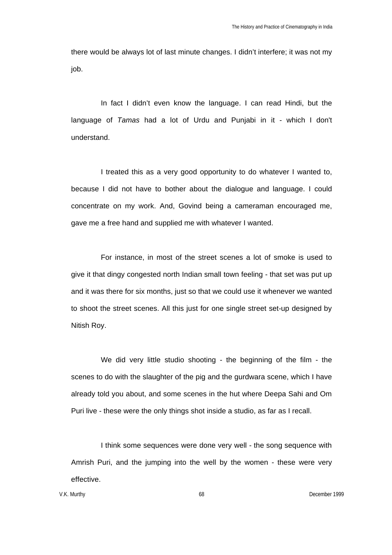there would be always lot of last minute changes. I didn't interfere; it was not my job.

In fact I didn't even know the language. I can read Hindi, but the language of *Tamas* had a lot of Urdu and Punjabi in it - which I don't understand.

I treated this as a very good opportunity to do whatever I wanted to, because I did not have to bother about the dialogue and language. I could concentrate on my work. And, Govind being a cameraman encouraged me, gave me a free hand and supplied me with whatever I wanted.

For instance, in most of the street scenes a lot of smoke is used to give it that dingy congested north Indian small town feeling - that set was put up and it was there for six months, just so that we could use it whenever we wanted to shoot the street scenes. All this just for one single street set-up designed by Nitish Roy.

We did very little studio shooting - the beginning of the film - the scenes to do with the slaughter of the pig and the gurdwara scene, which I have already told you about, and some scenes in the hut where Deepa Sahi and Om Puri live - these were the only things shot inside a studio, as far as I recall.

I think some sequences were done very well - the song sequence with Amrish Puri, and the jumping into the well by the women - these were very effective.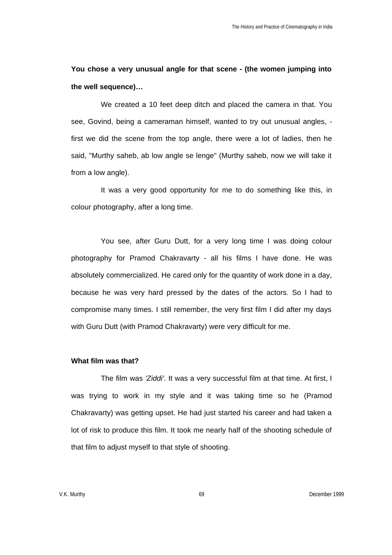**You chose a very unusual angle for that scene - (the women jumping into the well sequence)…**

We created a 10 feet deep ditch and placed the camera in that. You see, Govind, being a cameraman himself, wanted to try out unusual angles, first we did the scene from the top angle, there were a lot of ladies, then he said, "Murthy saheb, ab low angle se lenge" (Murthy saheb, now we will take it from a low angle).

It was a very good opportunity for me to do something like this, in colour photography, after a long time.

You see, after Guru Dutt, for a very long time I was doing colour photography for Pramod Chakravarty - all his films I have done. He was absolutely commercialized. He cared only for the quantity of work done in a day, because he was very hard pressed by the dates of the actors. So I had to compromise many times. I still remember, the very first film I did after my days with Guru Dutt (with Pramod Chakravarty) were very difficult for me.

### **What film was that?**

The film was *'Ziddi'*. It was a very successful film at that time. At first, I was trying to work in my style and it was taking time so he (Pramod Chakravarty) was getting upset. He had just started his career and had taken a lot of risk to produce this film. It took me nearly half of the shooting schedule of that film to adjust myself to that style of shooting.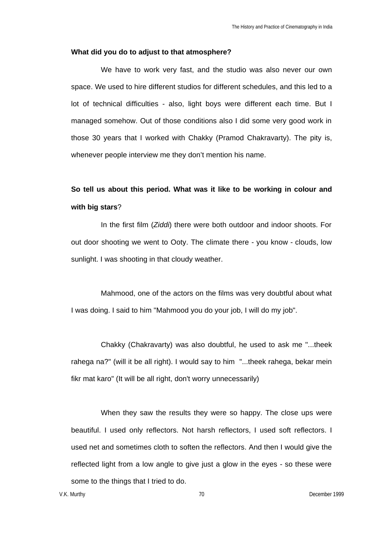#### **What did you do to adjust to that atmosphere?**

We have to work very fast, and the studio was also never our own space. We used to hire different studios for different schedules, and this led to a lot of technical difficulties - also, light boys were different each time. But I managed somehow. Out of those conditions also I did some very good work in those 30 years that I worked with Chakky (Pramod Chakravarty). The pity is, whenever people interview me they don't mention his name.

# **So tell us about this period. What was it like to be working in colour and with big stars**?

In the first film (*Ziddi*) there were both outdoor and indoor shoots. For out door shooting we went to Ooty. The climate there - you know - clouds, low sunlight. I was shooting in that cloudy weather.

Mahmood, one of the actors on the films was very doubtful about what I was doing. I said to him "Mahmood you do your job, I will do my job".

Chakky (Chakravarty) was also doubtful, he used to ask me "...theek rahega na?" (will it be all right). I would say to him "...theek rahega, bekar mein fikr mat karo" (It will be all right, don't worry unnecessarily)

When they saw the results they were so happy. The close ups were beautiful. I used only reflectors. Not harsh reflectors, I used soft reflectors. I used net and sometimes cloth to soften the reflectors. And then I would give the reflected light from a low angle to give just a glow in the eyes - so these were some to the things that I tried to do.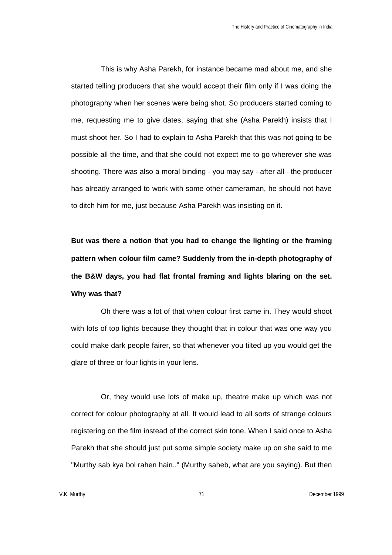This is why Asha Parekh, for instance became mad about me, and she started telling producers that she would accept their film only if I was doing the photography when her scenes were being shot. So producers started coming to me, requesting me to give dates, saying that she (Asha Parekh) insists that I must shoot her. So I had to explain to Asha Parekh that this was not going to be possible all the time, and that she could not expect me to go wherever she was shooting. There was also a moral binding - you may say - after all - the producer has already arranged to work with some other cameraman, he should not have to ditch him for me, just because Asha Parekh was insisting on it.

**But was there a notion that you had to change the lighting or the framing pattern when colour film came? Suddenly from the in-depth photography of the B&W days, you had flat frontal framing and lights blaring on the set. Why was that?**

Oh there was a lot of that when colour first came in. They would shoot with lots of top lights because they thought that in colour that was one way you could make dark people fairer, so that whenever you tilted up you would get the glare of three or four lights in your lens.

Or, they would use lots of make up, theatre make up which was not correct for colour photography at all. It would lead to all sorts of strange colours registering on the film instead of the correct skin tone. When I said once to Asha Parekh that she should just put some simple society make up on she said to me "Murthy sab kya bol rahen hain.." (Murthy saheb, what are you saying). But then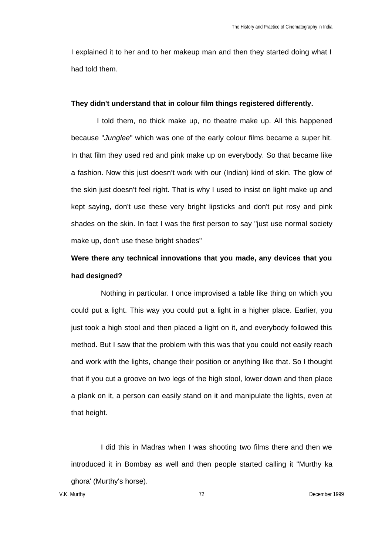I explained it to her and to her makeup man and then they started doing what I had told them.

#### **They didn't understand that in colour film things registered differently.**

 I told them, no thick make up, no theatre make up. All this happened because "*Junglee*" which was one of the early colour films became a super hit. In that film they used red and pink make up on everybody. So that became like a fashion. Now this just doesn't work with our (Indian) kind of skin. The glow of the skin just doesn't feel right. That is why I used to insist on light make up and kept saying, don't use these very bright lipsticks and don't put rosy and pink shades on the skin. In fact I was the first person to say "just use normal society make up, don't use these bright shades"

# **Were there any technical innovations that you made, any devices that you had designed?**

Nothing in particular. I once improvised a table like thing on which you could put a light. This way you could put a light in a higher place. Earlier, you just took a high stool and then placed a light on it, and everybody followed this method. But I saw that the problem with this was that you could not easily reach and work with the lights, change their position or anything like that. So I thought that if you cut a groove on two legs of the high stool, lower down and then place a plank on it, a person can easily stand on it and manipulate the lights, even at that height.

I did this in Madras when I was shooting two films there and then we introduced it in Bombay as well and then people started calling it "Murthy ka ghora' (Murthy's horse).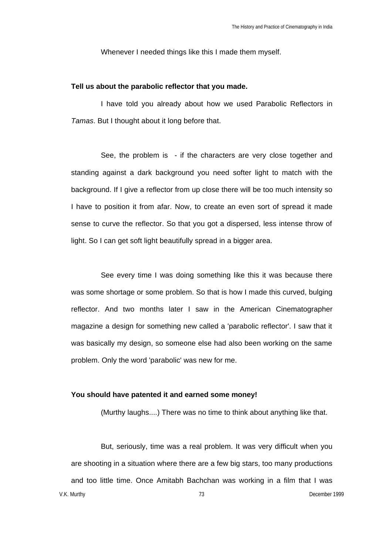Whenever I needed things like this I made them myself.

#### **Tell us about the parabolic reflector that you made.**

I have told you already about how we used Parabolic Reflectors in *Tamas*. But I thought about it long before that.

See, the problem is - if the characters are very close together and standing against a dark background you need softer light to match with the background. If I give a reflector from up close there will be too much intensity so I have to position it from afar. Now, to create an even sort of spread it made sense to curve the reflector. So that you got a dispersed, less intense throw of light. So I can get soft light beautifully spread in a bigger area.

See every time I was doing something like this it was because there was some shortage or some problem. So that is how I made this curved, bulging reflector. And two months later I saw in the American Cinematographer magazine a design for something new called a 'parabolic reflector'. I saw that it was basically my design, so someone else had also been working on the same problem. Only the word 'parabolic' was new for me.

## **You should have patented it and earned some money!**

(Murthy laughs....) There was no time to think about anything like that.

V.K. Murthy 73 December 1999 But, seriously, time was a real problem. It was very difficult when you are shooting in a situation where there are a few big stars, too many productions and too little time. Once Amitabh Bachchan was working in a film that I was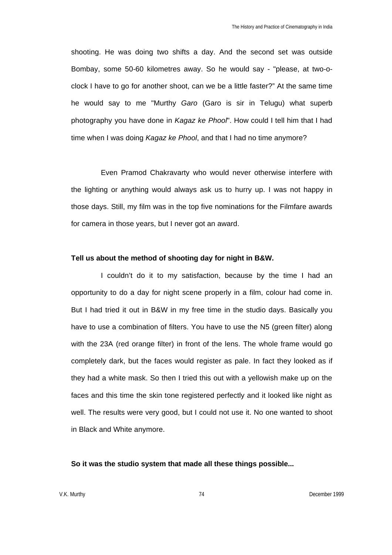shooting. He was doing two shifts a day. And the second set was outside Bombay, some 50-60 kilometres away. So he would say - "please, at two-oclock I have to go for another shoot, can we be a little faster?" At the same time he would say to me "Murthy *Garo* (Garo is sir in Telugu) what superb photography you have done in *Kagaz ke Phool*". How could I tell him that I had time when I was doing *Kagaz ke Phool*, and that I had no time anymore?

Even Pramod Chakravarty who would never otherwise interfere with the lighting or anything would always ask us to hurry up. I was not happy in those days. Still, my film was in the top five nominations for the Filmfare awards for camera in those years, but I never got an award.

#### **Tell us about the method of shooting day for night in B&W.**

I couldn't do it to my satisfaction, because by the time I had an opportunity to do a day for night scene properly in a film, colour had come in. But I had tried it out in B&W in my free time in the studio days. Basically you have to use a combination of filters. You have to use the N5 (green filter) along with the 23A (red orange filter) in front of the lens. The whole frame would go completely dark, but the faces would register as pale. In fact they looked as if they had a white mask. So then I tried this out with a yellowish make up on the faces and this time the skin tone registered perfectly and it looked like night as well. The results were very good, but I could not use it. No one wanted to shoot in Black and White anymore.

#### **So it was the studio system that made all these things possible...**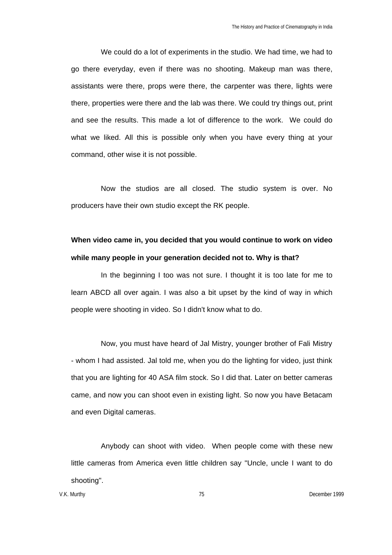We could do a lot of experiments in the studio. We had time, we had to go there everyday, even if there was no shooting. Makeup man was there, assistants were there, props were there, the carpenter was there, lights were there, properties were there and the lab was there. We could try things out, print and see the results. This made a lot of difference to the work. We could do what we liked. All this is possible only when you have every thing at your command, other wise it is not possible.

Now the studios are all closed. The studio system is over. No producers have their own studio except the RK people.

# **When video came in, you decided that you would continue to work on video while many people in your generation decided not to. Why is that?**

In the beginning I too was not sure. I thought it is too late for me to learn ABCD all over again. I was also a bit upset by the kind of way in which people were shooting in video. So I didn't know what to do.

Now, you must have heard of Jal Mistry, younger brother of Fali Mistry - whom I had assisted. Jal told me, when you do the lighting for video, just think that you are lighting for 40 ASA film stock. So I did that. Later on better cameras came, and now you can shoot even in existing light. So now you have Betacam and even Digital cameras.

Anybody can shoot with video. When people come with these new little cameras from America even little children say "Uncle, uncle I want to do shooting".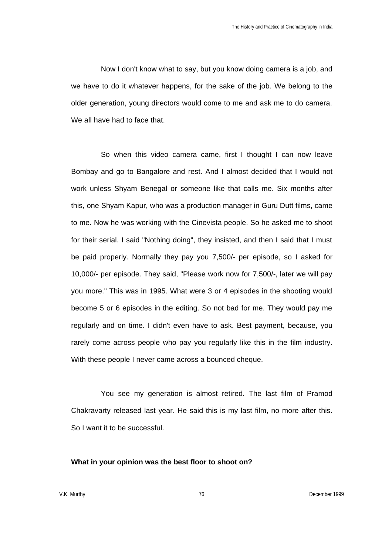The History and Practice of Cinematography in India

Now I don't know what to say, but you know doing camera is a job, and we have to do it whatever happens, for the sake of the job. We belong to the older generation, young directors would come to me and ask me to do camera. We all have had to face that.

So when this video camera came, first I thought I can now leave Bombay and go to Bangalore and rest. And I almost decided that I would not work unless Shyam Benegal or someone like that calls me. Six months after this, one Shyam Kapur, who was a production manager in Guru Dutt films, came to me. Now he was working with the Cinevista people. So he asked me to shoot for their serial. I said "Nothing doing", they insisted, and then I said that I must be paid properly. Normally they pay you 7,500/- per episode, so I asked for 10,000/- per episode. They said, "Please work now for 7,500/-, later we will pay you more." This was in 1995. What were 3 or 4 episodes in the shooting would become 5 or 6 episodes in the editing. So not bad for me. They would pay me regularly and on time. I didn't even have to ask. Best payment, because, you rarely come across people who pay you regularly like this in the film industry. With these people I never came across a bounced cheque.

You see my generation is almost retired. The last film of Pramod Chakravarty released last year. He said this is my last film, no more after this. So I want it to be successful.

# **What in your opinion was the best floor to shoot on?**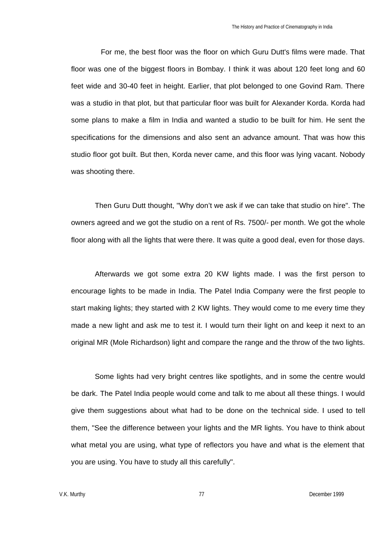For me, the best floor was the floor on which Guru Dutt's films were made. That floor was one of the biggest floors in Bombay. I think it was about 120 feet long and 60 feet wide and 30-40 feet in height. Earlier, that plot belonged to one Govind Ram. There was a studio in that plot, but that particular floor was built for Alexander Korda. Korda had some plans to make a film in India and wanted a studio to be built for him. He sent the specifications for the dimensions and also sent an advance amount. That was how this studio floor got built. But then, Korda never came, and this floor was lying vacant. Nobody was shooting there.

Then Guru Dutt thought, "Why don't we ask if we can take that studio on hire". The owners agreed and we got the studio on a rent of Rs. 7500/- per month. We got the whole floor along with all the lights that were there. It was quite a good deal, even for those days.

Afterwards we got some extra 20 KW lights made. I was the first person to encourage lights to be made in India. The Patel India Company were the first people to start making lights; they started with 2 KW lights. They would come to me every time they made a new light and ask me to test it. I would turn their light on and keep it next to an original MR (Mole Richardson) light and compare the range and the throw of the two lights.

Some lights had very bright centres like spotlights, and in some the centre would be dark. The Patel India people would come and talk to me about all these things. I would give them suggestions about what had to be done on the technical side. I used to tell them, "See the difference between your lights and the MR lights. You have to think about what metal you are using, what type of reflectors you have and what is the element that you are using. You have to study all this carefully".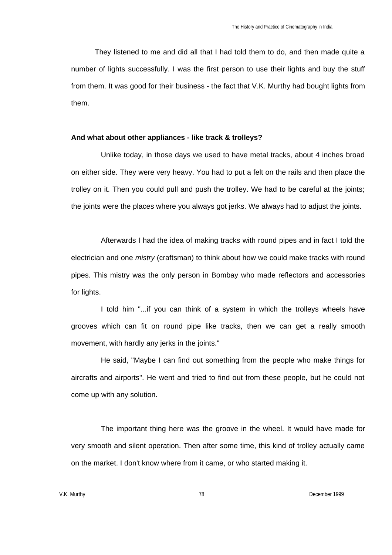They listened to me and did all that I had told them to do, and then made quite a number of lights successfully. I was the first person to use their lights and buy the stuff from them. It was good for their business - the fact that V.K. Murthy had bought lights from them.

## **And what about other appliances - like track & trolleys?**

Unlike today, in those days we used to have metal tracks, about 4 inches broad on either side. They were very heavy. You had to put a felt on the rails and then place the trolley on it. Then you could pull and push the trolley. We had to be careful at the joints; the joints were the places where you always got jerks. We always had to adjust the joints.

Afterwards I had the idea of making tracks with round pipes and in fact I told the electrician and one *mistry* (craftsman) to think about how we could make tracks with round pipes. This mistry was the only person in Bombay who made reflectors and accessories for lights.

I told him "...if you can think of a system in which the trolleys wheels have grooves which can fit on round pipe like tracks, then we can get a really smooth movement, with hardly any jerks in the joints."

He said, "Maybe I can find out something from the people who make things for aircrafts and airports". He went and tried to find out from these people, but he could not come up with any solution.

The important thing here was the groove in the wheel. It would have made for very smooth and silent operation. Then after some time, this kind of trolley actually came on the market. I don't know where from it came, or who started making it.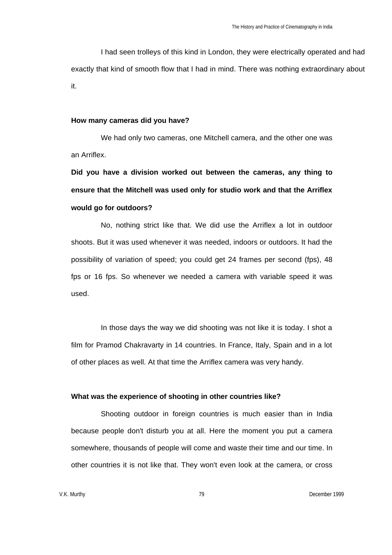I had seen trolleys of this kind in London, they were electrically operated and had exactly that kind of smooth flow that I had in mind. There was nothing extraordinary about it.

#### **How many cameras did you have?**

We had only two cameras, one Mitchell camera, and the other one was an Arriflex.

**Did you have a division worked out between the cameras, any thing to ensure that the Mitchell was used only for studio work and that the Arriflex would go for outdoors?**

No, nothing strict like that. We did use the Arriflex a lot in outdoor shoots. But it was used whenever it was needed, indoors or outdoors. It had the possibility of variation of speed; you could get 24 frames per second (fps), 48 fps or 16 fps. So whenever we needed a camera with variable speed it was used.

In those days the way we did shooting was not like it is today. I shot a film for Pramod Chakravarty in 14 countries. In France, Italy, Spain and in a lot of other places as well. At that time the Arriflex camera was very handy.

## **What was the experience of shooting in other countries like?**

Shooting outdoor in foreign countries is much easier than in India because people don't disturb you at all. Here the moment you put a camera somewhere, thousands of people will come and waste their time and our time. In other countries it is not like that. They won't even look at the camera, or cross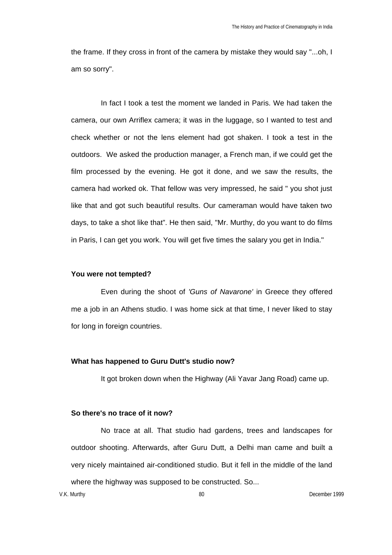the frame. If they cross in front of the camera by mistake they would say "...oh, I am so sorry".

In fact I took a test the moment we landed in Paris. We had taken the camera, our own Arriflex camera; it was in the luggage, so I wanted to test and check whether or not the lens element had got shaken. I took a test in the outdoors. We asked the production manager, a French man, if we could get the film processed by the evening. He got it done, and we saw the results, the camera had worked ok. That fellow was very impressed, he said " you shot just like that and got such beautiful results. Our cameraman would have taken two days, to take a shot like that". He then said, "Mr. Murthy, do you want to do films in Paris, I can get you work. You will get five times the salary you get in India."

#### **You were not tempted?**

Even during the shoot of *'Guns of Navarone'* in Greece they offered me a job in an Athens studio. I was home sick at that time, I never liked to stay for long in foreign countries.

#### **What has happened to Guru Dutt's studio now?**

It got broken down when the Highway (Ali Yavar Jang Road) came up.

## **So there's no trace of it now?**

No trace at all. That studio had gardens, trees and landscapes for outdoor shooting. Afterwards, after Guru Dutt, a Delhi man came and built a very nicely maintained air-conditioned studio. But it fell in the middle of the land where the highway was supposed to be constructed. So...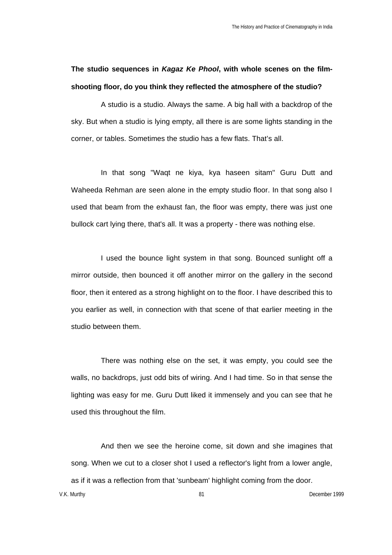**The studio sequences in** *Kagaz Ke Phool***, with whole scenes on the filmshooting floor, do you think they reflected the atmosphere of the studio?**

A studio is a studio. Always the same. A big hall with a backdrop of the sky. But when a studio is lying empty, all there is are some lights standing in the corner, or tables. Sometimes the studio has a few flats. That's all.

In that song "Waqt ne kiya, kya haseen sitam" Guru Dutt and Waheeda Rehman are seen alone in the empty studio floor. In that song also I used that beam from the exhaust fan, the floor was empty, there was just one bullock cart lying there, that's all. It was a property - there was nothing else.

I used the bounce light system in that song. Bounced sunlight off a mirror outside, then bounced it off another mirror on the gallery in the second floor, then it entered as a strong highlight on to the floor. I have described this to you earlier as well, in connection with that scene of that earlier meeting in the studio between them.

There was nothing else on the set, it was empty, you could see the walls, no backdrops, just odd bits of wiring. And I had time. So in that sense the lighting was easy for me. Guru Dutt liked it immensely and you can see that he used this throughout the film.

And then we see the heroine come, sit down and she imagines that song. When we cut to a closer shot I used a reflector's light from a lower angle, as if it was a reflection from that 'sunbeam' highlight coming from the door.